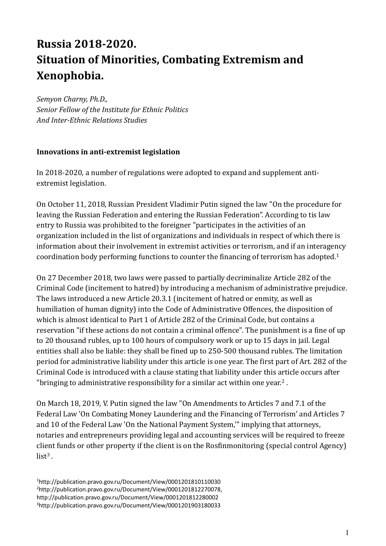# **Russia 2018-2020. Situation of Minorities, Combating Extremism and Xenophobia.**

*Semyon Charny, Ph.D., Senior Fellow of the Institute for Ethnic Politics And Inter-Ethnic Relations Studies*

#### **Innovations in anti-extremist legislation**

In 2018-2020, a number of regulations were adopted to expand and supplement antiextremist legislation.

On October 11, 2018, Russian President Vladimir Putin signed the law "On the procedure for leaving the Russian Federation and entering the Russian Federation". According to tis law entry to Russia was prohibited to the foreigner "participates in the activities of an organization included in the list of organizations and individuals in respect of which there is information about their involvement in extremist activities or terrorism, and if an interagency coordination body performing functions to counter the financing of terrorism has adopted. 1

On 27 December 2018, two laws were passed to partially decriminalize Article 282 of the Criminal Code (incitement to hatred) by introducing a mechanism of administrative prejudice. The laws introduced a new Article 20.3.1 (incitement of hatred or enmity, as well as humiliation of human dignity) into the Code of Administrative Offences, the disposition of which is almost identical to Part 1 of Article 282 of the Criminal Code, but contains a reservation "if these actions do not contain a criminal offence". The punishment is a fine of up to 20 thousand rubles, up to 100 hours of compulsory work or up to 15 days in jail. Legal entities shall also be liable: they shall be fined up to 250-500 thousand rubles. The limitation period for administrative liability under this article is one year. The first part of Art. 282 of the Criminal Code is introduced with a clause stating that liability under this article occurs after "bringing to administrative responsibility for a similar act within one year.<sup>2</sup> .

On March 18, 2019, V. Putin signed the law "On Amendments to Articles 7 and 7.1 of the Federal Law 'On Combating Money Laundering and the Financing of Terrorism' and Articles 7 and 10 of the Federal Law 'On the National Payment System,'" implying that attorneys, notaries and entrepreneurs providing legal and accounting services will be required to freeze client funds or other property if the client is on the Rosfinmonitoring (special control Agency)  $list<sup>3</sup>$ .

http://publication.pravo.gov.ru/Document/View/0001201810110030 http://publication.pravo.gov.ru/Document/View/0001201812270078, http://publication.pravo.gov.ru/Document/View/0001201812280002 http://publication.pravo.gov.ru/Document/View/0001201903180033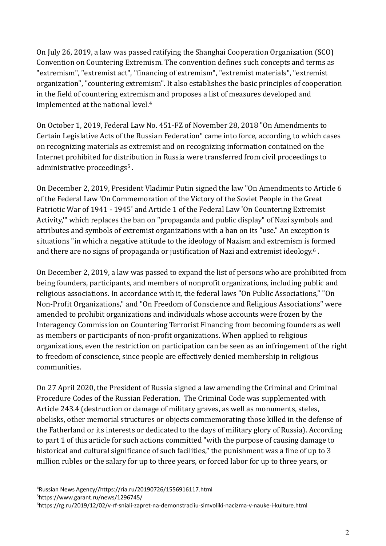On July 26, 2019, a law was passed ratifying the Shanghai Cooperation Organization (SCO) Convention on Countering Extremism. The convention defines such concepts and terms as "extremism", "extremist act", "financing of extremism", "extremist materials", "extremist organization", "countering extremism". It also establishes the basic principles of cooperation in the field of countering extremism and proposes a list of measures developed and implemented at the national level. 4

On October 1, 2019, Federal Law No. 451-FZ of November 28, 2018 "On Amendments to Certain Legislative Acts of the Russian Federation" came into force, according to which cases on recognizing materials as extremist and on recognizing information contained on the Internet prohibited for distribution in Russia were transferred from civil proceedings to administrative proceedings<sup>5</sup>.

On December 2, 2019, President Vladimir Putin signed the law "On Amendments to Article 6 of the Federal Law 'On Commemoration of the Victory of the Soviet People in the Great Patriotic War of 1941 - 1945' and Article 1 of the Federal Law 'On Countering Extremist Activity,'" which replaces the ban on "propaganda and public display" of Nazi symbols and attributes and symbols of extremist organizations with a ban on its "use." An exception is situations "in which a negative attitude to the ideology of Nazism and extremism is formed and there are no signs of propaganda or justification of Nazi and extremist ideology.<sup>6</sup>.

On December 2, 2019, a law was passed to expand the list of persons who are prohibited from being founders, participants, and members of nonprofit organizations, including public and religious associations. In accordance with it, the federal laws "On Public Associations," "On Non-Profit Organizations," and "On Freedom of Conscience and Religious Associations" were amended to prohibit organizations and individuals whose accounts were frozen by the Interagency Commission on Countering Terrorist Financing from becoming founders as well as members or participants of non-profit organizations. When applied to religious organizations, even the restriction on participation can be seen as an infringement of the right to freedom of conscience, since people are effectively denied membership in religious communities.

On 27 April 2020, the President of Russia signed a law amending the Criminal and Criminal Procedure Codes of the Russian Federation. The Criminal Code was supplemented with Article 243.4 (destruction or damage of military graves, as well as monuments, steles, obelisks, other memorial structures or objects commemorating those killed in the defense of the Fatherland or its interests or dedicated to the days of military glory of Russia). According to part 1 of this article for such actions committed "with the purpose of causing damage to historical and cultural significance of such facilities," the punishment was a fine of up to 3 million rubles or the salary for up to three years, or forced labor for up to three years, or

<sup>4</sup>Russian News Agency//https://ria.ru/20190726/1556916117.html <sup>5</sup>https://www.garant.ru/news/1296745/

6https://rg.ru/2019/12/02/v-rf-sniali-zapret-na-demonstraciiu-simvoliki-nacizma-v-nauke-i-kulture.html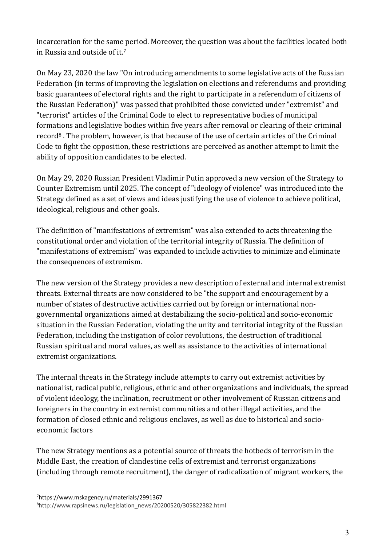incarceration for the same period. Moreover, the question was about the facilities located both in Russia and outside of it. 7

On May 23, 2020 the law "On introducing amendments to some legislative acts of the Russian Federation (in terms of improving the legislation on elections and referendums and providing basic guarantees of electoral rights and the right to participate in a referendum of citizens of the Russian Federation)" was passed that prohibited those convicted under "extremist" and "terrorist" articles of the Criminal Code to elect to representative bodies of municipal formations and legislative bodies within five years after removal or clearing of their criminal record<sup>8</sup> . The problem, however, is that because of the use of certain articles of the Criminal Code to fight the opposition, these restrictions are perceived as another attempt to limit the ability of opposition candidates to be elected.

On May 29, 2020 Russian President Vladimir Putin approved a new version of the Strategy to Counter Extremism until 2025. The concept of "ideology of violence" was introduced into the Strategy defined as a set of views and ideas justifying the use of violence to achieve political, ideological, religious and other goals.

The definition of "manifestations of extremism" was also extended to acts threatening the constitutional order and violation of the territorial integrity of Russia. The definition of "manifestations of extremism" was expanded to include activities to minimize and eliminate the consequences of extremism.

The new version of the Strategy provides a new description of external and internal extremist threats. External threats are now considered to be "the support and encouragement by a number of states of destructive activities carried out by foreign or international nongovernmental organizations aimed at destabilizing the socio-political and socio-economic situation in the Russian Federation, violating the unity and territorial integrity of the Russian Federation, including the instigation of color revolutions, the destruction of traditional Russian spiritual and moral values, as well as assistance to the activities of international extremist organizations.

The internal threats in the Strategy include attempts to carry out extremist activities by nationalist, radical public, religious, ethnic and other organizations and individuals, the spread of violent ideology, the inclination, recruitment or other involvement of Russian citizens and foreigners in the country in extremist communities and other illegal activities, and the formation of closed ethnic and religious enclaves, as well as due to historical and socioeconomic factors

The new Strategy mentions as a potential source of threats the hotbeds of terrorism in the Middle East, the creation of clandestine cells of extremist and terrorist organizations (including through remote recruitment), the danger of radicalization of migrant workers, the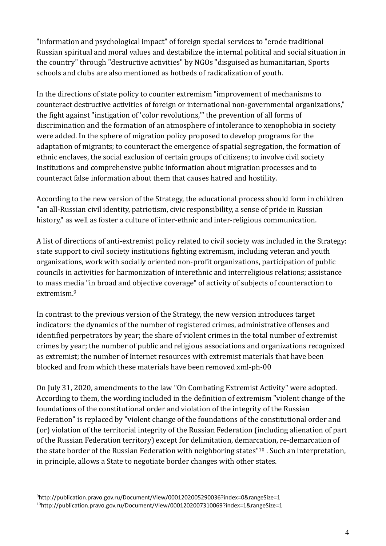"information and psychological impact" of foreign special services to "erode traditional Russian spiritual and moral values and destabilize the internal political and social situation in the country" through "destructive activities" by NGOs "disguised as humanitarian, Sports schools and clubs are also mentioned as hotbeds of radicalization of youth.

In the directions of state policy to counter extremism "improvement of mechanisms to counteract destructive activities of foreign or international non-governmental organizations," the fight against "instigation of 'color revolutions,'" the prevention of all forms of discrimination and the formation of an atmosphere of intolerance to xenophobia in society were added. In the sphere of migration policy proposed to develop programs for the adaptation of migrants; to counteract the emergence of spatial segregation, the formation of ethnic enclaves, the social exclusion of certain groups of citizens; to involve civil society institutions and comprehensive public information about migration processes and to counteract false information about them that causes hatred and hostility.

According to the new version of the Strategy, the educational process should form in children "an all-Russian civil identity, patriotism, civic responsibility, a sense of pride in Russian history," as well as foster a culture of inter-ethnic and inter-religious communication.

A list of directions of anti-extremist policy related to civil society was included in the Strategy: state support to civil society institutions fighting extremism, including veteran and youth organizations, work with socially oriented non-profit organizations, participation of public councils in activities for harmonization of interethnic and interreligious relations; assistance to mass media "in broad and objective coverage" of activity of subjects of counteraction to extremism.<sup>9</sup>

In contrast to the previous version of the Strategy, the new version introduces target indicators: the dynamics of the number of registered crimes, administrative offenses and identified perpetrators by year; the share of violent crimes in the total number of extremist crimes by year; the number of public and religious associations and organizations recognized as extremist; the number of Internet resources with extremist materials that have been blocked and from which these materials have been removed xml-ph-00

On July 31, 2020, amendments to the law "On Combating Extremist Activity" were adopted. According to them, the wording included in the definition of extremism "violent change of the foundations of the constitutional order and violation of the integrity of the Russian Federation" is replaced by "violent change of the foundations of the constitutional order and (or) violation of the territorial integrity of the Russian Federation (including alienation of part of the Russian Federation territory) except for delimitation, demarcation, re-demarcation of the state border of the Russian Federation with neighboring states"<sup>10</sup> . Such an interpretation, in principle, allows a State to negotiate border changes with other states.

<sup>9</sup>http://publication.pravo.gov.ru/Document/View/0001202005290036?index=0&rangeSize=1 10http://publication.pravo.gov.ru/Document/View/0001202007310069?index=1&rangeSize=1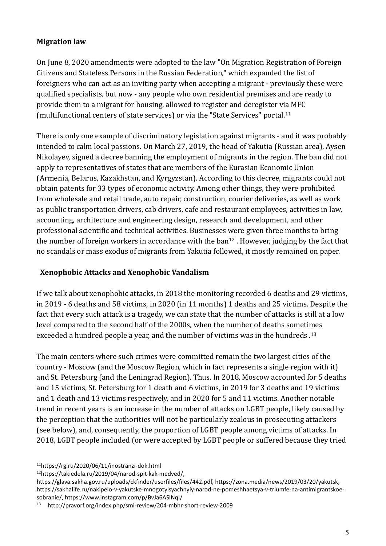#### **Migration law**

On June 8, 2020 amendments were adopted to the law "On Migration Registration of Foreign Citizens and Stateless Persons in the Russian Federation," which expanded the list of foreigners who can act as an inviting party when accepting a migrant - previously these were qualified specialists, but now - any people who own residential premises and are ready to provide them to a migrant for housing, allowed to register and deregister via MFC (multifunctional centers of state services) or via the "State Services" portal. 11

There is only one example of discriminatory legislation against migrants - and it was probably intended to calm local passions. On March 27, 2019, the head of Yakutia (Russian area), Aysen Nikolayev, signed a decree banning the employment of migrants in the region. The ban did not apply to representatives of states that are members of the Eurasian Economic Union (Armenia, Belarus, Kazakhstan, and Kyrgyzstan). According to this decree, migrants could not obtain patents for 33 types of economic activity. Among other things, they were prohibited from wholesale and retail trade, auto repair, construction, courier deliveries, as well as work as public transportation drivers, cab drivers, cafe and restaurant employees, activities in law, accounting, architecture and engineering design, research and development, and other professional scientific and technical activities. Businesses were given three months to bring the number of foreign workers in accordance with the ban<sup>12</sup>. However, judging by the fact that no scandals or mass exodus of migrants from Yakutia followed, it mostly remained on paper.

#### **Xenophobic Attacks and Xenophobic Vandalism**

If we talk about xenophobic attacks, in 2018 the monitoring recorded 6 deaths and 29 victims, in 2019 - 6 deaths and 58 victims, in 2020 (in 11 months) 1 deaths and 25 victims. Despite the fact that every such attack is a tragedy, we can state that the number of attacks is still at a low level compared to the second half of the 2000s, when the number of deaths sometimes exceeded a hundred people a year, and the number of victims was in the hundreds .<sup>13</sup>

The main centers where such crimes were committed remain the two largest cities of the country - Moscow (and the Moscow Region, which in fact represents a single region with it) and St. Petersburg (and the Leningrad Region). Thus. In 2018, Moscow accounted for 5 deaths and 15 victims, St. Petersburg for 1 death and 6 victims, in 2019 for 3 deaths and 19 victims and 1 death and 13 victims respectively, and in 2020 for 5 and 11 victims. Another notable trend in recent years is an increase in the number of attacks on LGBT people, likely caused by the perception that the authorities will not be particularly zealous in prosecuting attackers (see below), and, consequently, the proportion of LGBT people among victims of attacks. In 2018, LGBT people included (or were accepted by LGBT people or suffered because they tried

<sup>11</sup>https://rg.ru/2020/06/11/inostranzi-dok.html

<sup>12</sup>https://takiedela.ru/2019/04/narod-spit-kak-medved/,

https://glava.sakha.gov.ru/uploads/ckfinder/userfiles/files/442.pdf, https://zona.media/news/2019/03/20/yakutsk, https://sakhalife.ru/nakipelo-v-yakutske-mnogotyisyachnyiy-narod-ne-pomeshhaetsya-v-triumfe-na-antimigrantskoesobranie/, https://www.instagram.com/p/BvJa6ASlNqI/

<sup>13</sup> http://pravorf.org/index.php/smi-review/204-mbhr-short-review-2009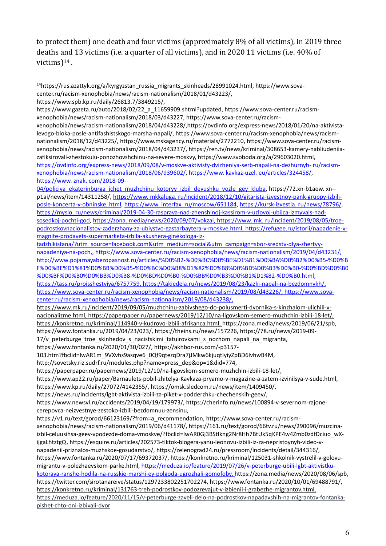to protect them) one death and four victims (approximately 8% of all victims), in 2019 three deaths and 13 victims (i.e. a quarter of all victims), and in 2020 11 victims (i.e. 40% of victims)<sup>14</sup> .

<sup>14</sup>https://rus.azattyk.org/a/kyrgyzstan\_russia\_migrants\_skinheads/28991024.html, https://www.sovacenter.ru/racism-xenophobia/news/racism-nationalism/2018/01/d43223/, https://www.spb.kp.ru/daily/26813.7/3849215/,

https://www.gazeta.ru/auto/2018/02/22\_a\_11659909.shtml?updated, https://www.sova-center.ru/racismxenophobia/news/racism-nationalism/2018/03/d43227, https://www.sova-center.ru/racismxenophobia/news/racism-nationalism/2018/04/d43228/,https://ovdinfo.org/express-news/2018/01/20/na-aktivistalevogo-bloka-posle-antifashistskogo-marsha-napali/, https://www.sova-center.ru/racism-xenophobia/news/racismnationalism/2018/12/d43225/, https://www.mskagency.ru/materials/2772210, https://www.sova-center.ru/racismxenophobia/news/racism-nationalism/2018/04/d43237/, https://ren.tv/news/kriminal/308653-kamery-nabliudeniiazafiksirovali-zhestokuiu-ponozhovshchinu-na-severe-moskvy, https://www.svoboda.org/a/29603020.html, [https://ovdinfo.org/express-news/2018/09/08/v-moskve-aktivisty-dvizheniya-serb-napali-na-dezhurnyh-](https://www.sova-center.ru/racism-xenophobia/news/racism-nationalism/2018/06/d39602/) [ru/racism](https://www.sova-center.ru/racism-xenophobia/news/racism-nationalism/2018/06/d39602/)[xenophobia/news/racism-nationalism/2018/06/d39602/,](https://www.sova-center.ru/racism-xenophobia/news/racism-nationalism/2018/06/d39602/) [https://www. kavkaz-uzel. eu/articles/324458/,](https://www.kavkaz-uzel.eu/articles/324458/)  [https://www. znak. com/2018-09-](https://www.znak.com/2018-09-04/policiya_ekaterinburga_ichet_muzhchinu_kotoryy_izbil_devushku_vozle_gey_kluba)

04/policiya ekaterinburga ichet muzhchinu kotoryy izbil devushku vozle gey kluba, https://72.xn-b1aew. xn--p1ai/news/item/14311258/[, https://www. mkkaluga. ru/incident/2018/12/10/gitarista-izvestnoy-pank-gruppy-izbili](https://www.mkkaluga.ru/incident/2018/12/10/gitarista-izvestnoy-pank-gruppy-izbili-posle-koncerta-v-obninske.html)[posle-koncerta-v-obninske. html,](https://www.mkkaluga.ru/incident/2018/12/10/gitarista-izvestnoy-pank-gruppy-izbili-posle-koncerta-v-obninske.html) [https://www. interfax. ru/moscow/651184,](https://www.interfax.ru/moscow/651184) [https://kursk-izvestia. ru/news/78796/,](https://kursk-izvestia.ru/news/78796/) [https://myslo. ru/news/criminal/2019-04-30-rasprava-nad-zhenshinoj-kassirom-v-uzlovoj-ubijca-izmyvals-nad](https://myslo.ru/news/criminal/2019-04-30-rasprava-nad-zhenshinoj-kassirom-v-uzlovoj-ubijca-izmyvalsya-nad-sosedkoj-pochti-god)[sosedkoj-pochti-god,](https://myslo.ru/news/criminal/2019-04-30-rasprava-nad-zhenshinoj-kassirom-v-uzlovoj-ubijca-izmyvalsya-nad-sosedkoj-pochti-god) [https://zona. media/news/2020/09/07/vokzal,](https://zona.media/news/2020/09/07/vokzal) [https://www. mk. ru/incident/2019/08/05/troe](https://www.mk.ru/incident/2019/08/05/troe-podrostkovnacionalistov-zaderzhany-za-ubiystvo-gastarbaytera-v-moskve.html)[podrostkovnacionalistov-zaderzhany-za-ubiystvo-gastarbaytera-v-moskve.html,](https://www.mk.ru/incident/2019/08/05/troe-podrostkovnacionalistov-zaderzhany-za-ubiystvo-gastarbaytera-v-moskve.html) [https://refugee.ru/istorii/napadenie-v](https://refugee.ru/istorii/napadenie-v-magnite-prodavets-supermarketa-izbila-akushera-ginekologa-iz-tadzhikistana/?utm_source=facebook.com&utm_medium=social&utm_campaign=sbor-sredstv-dlya-zhertvy-napadeniya-na-poch)[magnite-prodavets-supermarketa-izbila-akushera-ginekologa-iz-](https://refugee.ru/istorii/napadenie-v-magnite-prodavets-supermarketa-izbila-akushera-ginekologa-iz-tadzhikistana/?utm_source=facebook.com&utm_medium=social&utm_campaign=sbor-sredstv-dlya-zhertvy-napadeniya-na-poch)

[tadzhikistana/?utm\\_source=facebook.com&utm\\_medium=social&utm\\_campaign=sbor-sredstv-dlya-zhertvy](https://refugee.ru/istorii/napadenie-v-magnite-prodavets-supermarketa-izbila-akushera-ginekologa-iz-tadzhikistana/?utm_source=facebook.com&utm_medium=social&utm_campaign=sbor-sredstv-dlya-zhertvy-napadeniya-na-poch)[napadeniya-na-poch,](https://refugee.ru/istorii/napadenie-v-magnite-prodavets-supermarketa-izbila-akushera-ginekologa-iz-tadzhikistana/?utm_source=facebook.com&utm_medium=social&utm_campaign=sbor-sredstv-dlya-zhertvy-napadeniya-na-poch), https://www.sova-center.ru/racism-xenophobia/news/racism-nationalism/2019/04/d43231/, [http://www.pojarnayabezopasnost.ru/articles/%D0%B2-%D0%BC%D0%BE%D1%81%D0%BA%D0%B2%D0%B5-%D0%B](http://www.pojarnayabezopasnost.ru/articles/в-москве-после-митинга-напали-на-лгбт-а.html) [F%D0%BE%D1%81%D0%BB%D0%B5-%D0%BC%D0%B8%D1%82%D0%B8%D0%BD%D0%B3%D0%B0-%D0%BD%D0%B0](http://www.pojarnayabezopasnost.ru/articles/в-москве-после-митинга-напали-на-лгбт-а.html) [%D0%BF%D0%B0%D0%BB%D0%B8-%D0%BD%D0%B0-%D0%BB%D0%B3%D0%B1%D1%82-%D0%B0.html,](http://www.pojarnayabezopasnost.ru/articles/в-москве-после-митинга-напали-на-лгбт-а.html) https://tass.ru/proisshestviya/6757759, https://takiedela.ru/news/2019/08/23/kazki-napali-na-bezdomnykh/, https://www.sova-center.ru/racism-xenophobia/news/racism-nationalism/2019/08/d43226/, https://www.sova-

center.ru/racism-xenophobia/news/racism-nationalism/2019/08/d43238/,

https://www.mk.ru/incident/2019/09/05/muzhchinu-zabivshego-do-polusmerti-dvornika-s-kinzhalom-ulichili-vnacionalizme.html, https://paperpaper.ru/papernews/2019/12/10/na-ligovskom-semero-muzhchin-izbili-18-let/, https://konkretno.ru/kriminal/114940-v-kudrovo-izbili-afrikanca.html, https://zona.media/news/2019/06/21/spb, https://www.fontanka.ru/2019/04/23/023/, https://theins.ru/news/157226, [https://78.ru/news/2019-09-](https://78.ru/news/2019-09-17/)

17/v peterburge troe skinhedov s nacistskimi tatuirovkami s nozhom napali na migranta,

https://www.fontanka.ru/2020/01/30/027/, https://akhbor-rus.com/-p3157-

103.htm?fbclid=IwAR1m\_9VXvhs9asqve6\_0Qf9qtezqDra7jJMkw6kjuqtIyiyZpBD6IvhwB4M,

http://sovetsky.riz.sudrf.ru/modules.php?name=press\_dep&op=1&did=774,

https://paperpaper.ru/papernews/2019/12/10/na-ligovskom-semero-muzhchin-izbili-18-let/,

https://www.ap22.ru/paper/Barnaulets-pobil-zhitelya-Kavkaza-pryamo-v-magazine-a-zatem-izvinilsya-v-sude.html, https://www.kp.ru/daily/27072/4142355/, https://omsk.sledcom.ru/news/item/1409450/,

https://news.ru/incidents/lgbt-aktivista-izbili-za-piket-v-podderzhku-chechenskih-geev/,

https://www.newsvl.ru/accidents/2019/04/19/179973/, https://cherinfo.ru/news/100894-v-severnom-rajonecerepovca-neizvestnye-zestoko-izbili-bezdomnuu-zensinu,

https://v1.ru/text/gorod/66123169/?from=a\_recommendation, https://www.sova-center.ru/racism-

xenophobia/news/racism-nationalism/2019/06/d41178/, [https://161.ru/text/gorod/66tv.ru/news/290096/muzcina](https://www.5-tv.ru/news/290096/muzcina-izbil-celuusihsa-geev-vpodezde-doma-vmoskve/?fbclid=IwAR0Gj3BStIkng2Nr8Hh7BtUk5qKPE4w4Zmb0zdfDciuo_wX-ijgaLhtztgQ)[izbil-celuusihsa-geev-vpodezde-doma-vmoskve/?fbclid=IwAR0Gj3BStIkng2Nr8Hh7BtUk5qKPE4w4Zmb0zdfDciuo\\_wX](https://www.5-tv.ru/news/290096/muzcina-izbil-celuusihsa-geev-vpodezde-doma-vmoskve/?fbclid=IwAR0Gj3BStIkng2Nr8Hh7BtUk5qKPE4w4Zmb0zdfDciuo_wX-ijgaLhtztgQ)[ijgaLhtztgQ,](https://www.5-tv.ru/news/290096/muzcina-izbil-celuusihsa-geev-vpodezde-doma-vmoskve/?fbclid=IwAR0Gj3BStIkng2Nr8Hh7BtUk5qKPE4w4Zmb0zdfDciuo_wX-ijgaLhtztgQ) https://esquire.ru/articles/202573-tiktok-blogera-yanu-leonovu-izbili-iz-za-nepristoynyh-video-vnapadenii-priznalos-muzhskoe-gosudarstvo/, https://zelenograd24.ru/pressroom/incidents/detail/344316/, https://www.fontanka.ru/2020/07/17/69372037/, https://konkretno.ru/kriminal/125031-shkolnik-vystrelil-v-golovumigrantu-v-polezhaevskom-parke.html, https://meduza.io/feature/2019/07/26/v-peterburge-ubili-lgbt-aktivistkukotoraya-ranshe-hodila-na-russkie-marshi-ey-polgoda-ugrozhali-gomofoby, https://zona.media/news/2020/08/06/spb, https://twitter.com/sirotanareive/status/1297233802251702274, https://www.fontanka.ru/2020/10/01/69488791/, https://konkretno.ru/kriminal/131763-treh-podrostkov-podozrevajut-v-izbienii-i-grabezhe-migrantov.html, https://meduza.io/feature/2020/11/15/v-peterburge-zaveli-delo-na-podrostkov-napadavshih-na-migrantov-fontankapishet-chto-oni-izbivali-dvor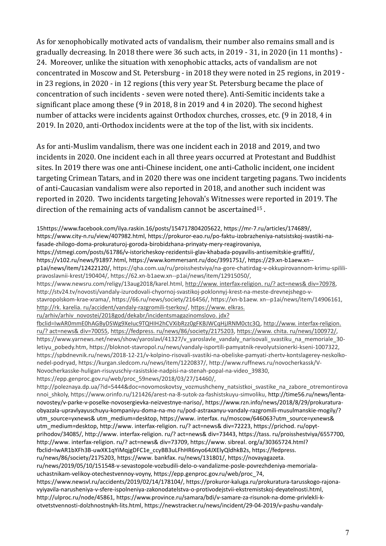As for xenophobically motivated acts of vandalism, their number also remains small and is gradually decreasing. In 2018 there were 36 such acts, in 2019 - 31, in 2020 (in 11 months) - 24. Moreover, unlike the situation with xenophobic attacks, acts of vandalism are not concentrated in Moscow and St. Petersburg - in 2018 they were noted in 25 regions, in 2019 in 23 regions, in 2020 - in 12 regions (this very year St. Petersburg became the place of concentration of such incidents - seven were noted there). Anti-Semitic incidents take a significant place among these (9 in 2018, 8 in 2019 and 4 in 2020). The second highest number of attacks were incidents against Orthodox churches, crosses, etc. (9 in 2018, 4 in 2019. In 2020, anti-Orthodox incidents were at the top of the list, with six incidents.

As for anti-Muslim vandalism, there was one incident each in 2018 and 2019, and two incidents in 2020. One incident each in all three years occurred at Protestant and Buddhist sites. In 2019 there was one anti-Chinese incident, one anti-Catholic incident, one incident targeting Crimean Tatars, and in 2020 there was one incident targeting pagans. Two incidents of anti-Caucasian vandalism were also reported in 2018, and another such incident was reported in 2020. Two incidents targeting Jehovah's Witnesses were reported in 2019. The direction of the remaining acts of vandalism cannot be ascertained<sup>15</sup> .

15https://www.facebook.com/ilya.raskin.16/posts/154717804205622, https://mr-7.ru/articles/174689/, https://www.city-n.ru/view/407982.html, https://prokuror-eao.ru/po-faktu-izobrazheniya-natsistskoj-svastiki-nafasade-zhilogo-doma-prokuraturoj-goroda-birobidzhana-prinyaty-mery-reagirovaniya,

https://stmegi.com/posts/61786/v-istoricheskoy-rezidentsii-glav-khabada-poyavilis-antisemitskie-graffiti/,

https://v102.ru/news/91897.html, https://www.kommersant.ru/doc/3991751/, https://29.xn-b1aew.xn- p1ai/news/item/12422120/, https://qha.com.ua/ru/proisshestviya/na-gore-chatirdag-v-okkupirovannom-krimu-spililipravoslavnii-krest/190404/, https://62.xn-b1aew.xn--p1ai/news/item/12915050/,

https://www.newsru.com/religy/13aug2018/karel.html, [http://www. interfax-religion. ru/? act=news& div=70978,](http://www.interfax-religion.ru/?act=news&div=70978)  http://stv24.tv/novosti/vandaly-izurodovali-chyornoj-svastikoj-poklonnyj-krest-na-meste-drevnejshego-vstavropolskom-krae-xrama/, https://66.ru/news/society/216456/, https://xn-b1aew. xn--p1ai/news/item/14906161, [http://rk. karelia. ru/accident/vandaly-razgromili-tserkov/,](http://rk.karelia.ru/accident/vandaly-razgromili-tserkov/) [https://www. elkras.](https://www.elkras.ru/arhiv/arhiv_novostei/2018god/dekabr/incidentsmagazinomslovo.jdx?fbclid=IwAR0mmE0hAGByDSWg9XeIuc9TQHIH2hCVXibRzz0gFKBJWCqHjJRNM0ctc3Q)  ru/arhiv/arhiv\_novostei/2018god/dekabr/incidentsmagazinomslovo. jdx?

[fbclid=IwAR0mmE0hAGByDSWg9XeIuc9TQHIH2hCVXibRzz0gFKBJWCqHjJRNM0ctc3Q,](https://www.elkras.ru/arhiv/arhiv_novostei/2018god/dekabr/incidentsmagazinomslovo.jdx?fbclid=IwAR0mmE0hAGByDSWg9XeIuc9TQHIH2hCVXibRzz0gFKBJWCqHjJRNM0ctc3Q) [http://www. interfax-religion.](http://www.interfax-religion.ru/?act=news&div=70055)  [ru/? act=news& div=70055,](http://www.interfax-religion.ru/?act=news&div=70055) [https://fedpress. ru/news/86/society/2175203,](https://fedpress.ru/news/86/society/2175203) [https://www. chita. ru/news/100972/,](https://www.chita.ru/news/100972/) https://www.yarnews.net/news/show/yaroslavl/41327/v yaroslavle vandaly narisovali svastiku na memoriale 30letiyu\_pobedy.htm, https://bloknot-stavropol.ru/news/vandaly-isportili-pamyatnik-revolyutsionerki-kseni-1007322, https://spbdnevnik.ru/news/2018-12-21/v-kolpino-risovali-svastiki-na-obeliske-pamyati-zhertv-kontslagerey-neskolkonedel-podryad, https://kurgan.sledcom.ru/news/item/1220837/, http://www.ruffnews.ru/novocherkassk/V-Novocherkasske-huligan-risuyuschiy-rasistskie-nadpisi-na-stenah-popal-na-video\_39830, https://epp.genproc.gov.ru/web/proc\_59news/2018/03/27/14460/,

http://poleznaya.dp.ua/?id=5444&doc=novomoskovtsy\_vozmushcheny\_natsistkoi\_svastike\_na\_zabore\_otremontirova nnoi\_shkoly, https://www.orinfo.ru/121426/arest-na-8-sutok-za-fashistskuyu-simvoliku, http://time56.ru/news/lentanovostey/v-parke-v-poselke-novosergievka-neizvestnye-nariso/[, https://www.rzn.info/news/2018/8/29/prokuratura](https://astrakhanpost.ru/pod-astraxanyu-vandaly-razgromili-musulmanskie-mogily/?utm_source=yxnews&utm_medium=desktop)[obyazala-upravlyayuschuyu-kompaniyu-doma-na-mo ru/pod-astraxanyu-vandaly-razgromili-musulmanskie-mogily/?](https://astrakhanpost.ru/pod-astraxanyu-vandaly-razgromili-musulmanskie-mogily/?utm_source=yxnews&utm_medium=desktop)  [utm\\_source=yxnews& utm\\_medium=desktop,](https://astrakhanpost.ru/pod-astraxanyu-vandaly-razgromili-musulmanskie-mogily/?utm_source=yxnews&utm_medium=desktop) https://www. interfax. ru/moscow/646063?utm\_source=yxnews& [utm\\_medium=desktop,](https://www.interfax.ru/moscow/646063?utm_source=yxnews&utm_medium=desktop) [http://www. interfax-religion. ru/? act=news& div=72223,](http://www.interfax-religion.ru/?act=news&div=72223) [https://prichod. ru/opyt](https://prichod.ru/opyt-prihodov/34085/)[prihodov/34085/,](https://prichod.ru/opyt-prihodov/34085/) [http://www. interfax-religion. ru/? act=news& div=73443,](http://www.interfax-religion.ru/?act=news&div=73443) [https://tass. ru/proisshestviya/6557700,](https://tass.ru/proisshestviya/6557700)  [http://www. interfax-religion. ru/? act=news& div=73709,](http://www.interfax-religion.ru/?act=news&div=73709) [https://www. sibreal. org/a/30365724.html?](https://www.sibreal.org/a/30365724.html?fbclid=IwAR1bXFh3B-uwXK1qYiMqjgDFC1e_ccyBB3uLFhHR6nyo64JXElyQldhkB2s)  [fbclid=IwAR1bXFh3B-uwXK1qYiMqjgDFC1e\\_ccyBB3uLFhHR6nyo64JXElyQldhkB2s,](https://www.sibreal.org/a/30365724.html?fbclid=IwAR1bXFh3B-uwXK1qYiMqjgDFC1e_ccyBB3uLFhHR6nyo64JXElyQldhkB2s) [https://fedpress.](https://fedpress.ru/news/86/society/2175203)  [ru/news/86/society/2175203,](https://fedpress.ru/news/86/society/2175203) [https://www. bankfax. ru/news/131801/,](https://www.bankfax.ru/news/131801/) [https://novayagazeta.](https://novayagazeta.ru/news/2019/05/10/151548-v-sevastopole-vozbudili-delo-o-vandalizme-posle-povrezhdeniya-memoriala-uchastnikam-velikoy-otechestvennoy-voyny)  [ru/news/2019/05/10/151548-v-sevastopole-vozbudili-delo-o-vandalizme-posle-povrezhdeniya-memoriala](https://novayagazeta.ru/news/2019/05/10/151548-v-sevastopole-vozbudili-delo-o-vandalizme-posle-povrezhdeniya-memoriala-uchastnikam-velikoy-otechestvennoy-voyny)[uchastnikam-velikoy-otechestvennoy-voyny,](https://novayagazeta.ru/news/2019/05/10/151548-v-sevastopole-vozbudili-delo-o-vandalizme-posle-povrezhdeniya-memoriala-uchastnikam-velikoy-otechestvennoy-voyny) https://epp.genproc.gov.ru/web/proc\_74, https://www.newsvl.ru/accidents/2019/02/14/178104/, https://prokuror-kaluga.ru/prokuratura-tarusskogo-rajonavyiyavila-narusheniya-v-sfere-ispolneniya-zakonodatelstva-o-protivodejstvii-ekstremistskoj-deyatelnosti.html, http://ulproc.ru/node/45861, https://www.province.ru/samara/bdi/v-samare-za-risunok-na-dome-privlekli-kotvetstvennosti-dolzhnostnykh-lits.html, https://newstracker.ru/news/incident/29-04-2019/v-pashu-vandaly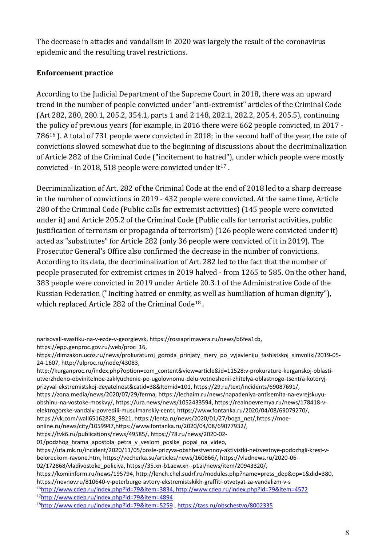The decrease in attacks and vandalism in 2020 was largely the result of the coronavirus epidemic and the resulting travel restrictions.

#### **Enforcement practice**

According to the Judicial Department of the Supreme Court in 2018, there was an upward trend in the number of people convicted under "anti-extremist" articles of the Criminal Code (Art 282, 280, 280.1, 205.2, 354.1, parts 1 and 2 148, 282.1, 282.2, 205.4, 205.5), continuing the policy of previous years (for example, in 2016 there were 662 people convicted, in 2017 - 786<sup>16</sup> ). A total of 731 people were convicted in 2018; in the second half of the year, the rate of convictions slowed somewhat due to the beginning of discussions about the decriminalization of Article 282 of the Criminal Code ("incitement to hatred"), under which people were mostly convicted - in 2018, 518 people were convicted under  $it^{17}$ .

Decriminalization of Art. 282 of the Criminal Code at the end of 2018 led to a sharp decrease in the number of convictions in 2019 - 432 people were convicted. At the same time, Article 280 of the Criminal Code (Public calls for extremist activities) (145 people were convicted under it) and Article 205.2 of the Criminal Code (Public calls for terrorist activities, public justification of terrorism or propaganda of terrorism) (126 people were convicted under it) acted as "substitutes" for Article 282 (only 36 people were convicted of it in 2019). The Prosecutor General's Office also confirmed the decrease in the number of convictions. According to its data, the decriminalization of Art. 282 led to the fact that the number of people prosecuted for extremist crimes in 2019 halved - from 1265 to 585. On the other hand, 383 people were convicted in 2019 under Article 20.3.1 of the Administrative Code of the Russian Federation ("Inciting hatred or enmity, as well as humiliation of human dignity"), which replaced Article 282 of the Criminal Code<sup>18</sup>.

https://epp.genproc.gov.ru/web/proc\_16,

narisovali-svastiku-na-v-ezde-v-georgievsk, [https://rossaprimavera.ru/news/b6fea1cb,](https://rossaprimavera.ru/news/b6fea1cb)

https://dimzakon.ucoz.ru/news/prokuraturoj\_goroda\_prinjaty\_mery\_po\_vyjavleniju\_fashistskoj\_simvoliki/2019-05- 24-1607, http://ulproc.ru/node/43083,

[http://kurganproc.ru/index.php?option=com\\_content&view=article&id=11528:v-prokurature-kurganskoj-oblasti](http://kurganproc.ru/index.php?option=com_content&view=article&id=11528:v-prokurature-kurganskoj-oblasti-utverzhdeno-obvinitelnoe-zaklyuchenie-po-ugolovnomu-delu-v-otnoshenii-zhitelya-oblastnogo-tsentra-kotoryj-prizyval-k-ekstremistskoj-deyatelnosti&catid=38&Itemid=101)[utverzhdeno-obvinitelnoe-zaklyuchenie-po-ugolovnomu-delu-votnoshenii-zhitelya-oblastnogo-tsentra-kotoryj](http://kurganproc.ru/index.php?option=com_content&view=article&id=11528:v-prokurature-kurganskoj-oblasti-utverzhdeno-obvinitelnoe-zaklyuchenie-po-ugolovnomu-delu-v-otnoshenii-zhitelya-oblastnogo-tsentra-kotoryj-prizyval-k-ekstremistskoj-deyatelnosti&catid=38&Itemid=101)[prizyval-ekstremistskoj-deyatelnost&catid=38&Itemid=101,](http://kurganproc.ru/index.php?option=com_content&view=article&id=11528:v-prokurature-kurganskoj-oblasti-utverzhdeno-obvinitelnoe-zaklyuchenie-po-ugolovnomu-delu-v-otnoshenii-zhitelya-oblastnogo-tsentra-kotoryj-prizyval-k-ekstremistskoj-deyatelnosti&catid=38&Itemid=101) [https://29.ru/text/incidents/69087691/,](https://29.ru/text/incidents/69087691/)

https://zona.media/news/2020/07/29/ferma[, https://lechaim.ru/news/napadeniya-antisemita-na-evrejskuyu](https://lechaim.ru/news/napadeniya-antisemita-na-evrejskuyu-obshhinu-na-vostoke-moskvy/)[obshinu-na-vostoke-moskvy/,](https://lechaim.ru/news/napadeniya-antisemita-na-evrejskuyu-obshhinu-na-vostoke-moskvy/) https://ura.news/news/1052433594, https://realnoevremya.ru/news/178418-velektrogorske-vandaly-povredili-musulmanskiy-centr, https://www.fontanka.ru/2020/04/08/69079270/, https://vk.com/wall65162828\_9921, https://lenta.ru/news/2020/01/27/boga\_net/,https://moe-

online.ru/news/city/1059947,https://www.fontanka.ru/2020/04/08/69077932/,

https://tvk6.ru/publications/news/49585/, https://78.ru/news/2020-02-

<sup>01/</sup>podzhog hrama apostola petra v veslom poslke popal na video,

[https://ufa.mk.ru/incident/2020/11/05/posle-prizyva-obshhestvennoy-aktivistki-neizvestnye-podozhgli-krest-v](https://komiinform.ru/news/195794)[beloreckom-rayone.htm,](https://komiinform.ru/news/195794) https://vecherka.su/articles/news/160866/, https://vladnews.ru/2020-06-

<sup>02/172868/</sup>vladivostoke\_policiya, https://35.xn-b1aew.xn--p1ai/news/item/20943320/,

https://komiinform.ru/news/195794, http://lench.chel.sudrf.ru/modules.php?name=press\_dep&op=1&did=380, https://nevnov.ru/810640-v-peterburge-avtory-ekstremistskikh-graffiti-otvetyat-za-vandalizm-v-s

<sup>16</sup>http://www.cdep.ru/index.php?id=79&item=3834, http://www.cdep.ru/index.php?id=79&item=4572

<sup>17</sup><http://www.cdep.ru/index.php?id=79&item=4894>

<sup>18</sup><http://www.cdep.ru/index.php?id=79&item=5259> ,<https://tass.ru/obschestvo/8002335>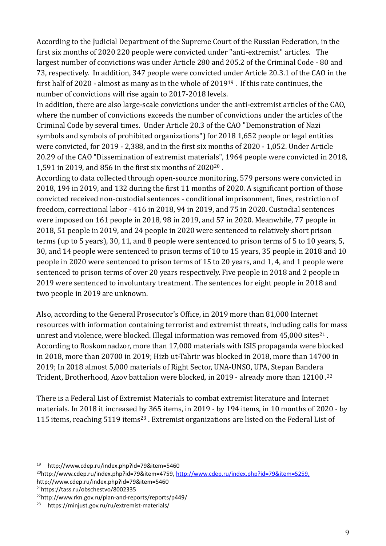According to the Judicial Department of the Supreme Court of the Russian Federation, in the first six months of 2020 220 people were convicted under "anti-extremist" articles. The largest number of convictions was under Article 280 and 205.2 of the Criminal Code - 80 and 73, respectively. In addition, 347 people were convicted under Article 20.3.1 of the CAO in the first half of 2020 - almost as many as in the whole of 2019<sup>19</sup> . If this rate continues, the number of convictions will rise again to 2017-2018 levels.

In addition, there are also large-scale convictions under the anti-extremist articles of the CAO, where the number of convictions exceeds the number of convictions under the articles of the Criminal Code by several times. Under Article 20.3 of the CAO "Demonstration of Nazi symbols and symbols of prohibited organizations") for 2018 1,652 people or legal entities were convicted, for 2019 - 2,388, and in the first six months of 2020 - 1,052. Under Article 20.29 of the CAO "Dissemination of extremist materials", 1964 people were convicted in 2018, 1,591 in 2019, and 856 in the first six months of 2020<sup>20</sup> .

According to data collected through open-source monitoring, 579 persons were convicted in 2018, 194 in 2019, and 132 during the first 11 months of 2020. A significant portion of those convicted received non-custodial sentences - conditional imprisonment, fines, restriction of freedom, correctional labor - 416 in 2018, 94 in 2019, and 75 in 2020. Custodial sentences were imposed on 161 people in 2018, 98 in 2019, and 57 in 2020. Meanwhile, 77 people in 2018, 51 people in 2019, and 24 people in 2020 were sentenced to relatively short prison terms (up to 5 years), 30, 11, and 8 people were sentenced to prison terms of 5 to 10 years, 5, 30, and 14 people were sentenced to prison terms of 10 to 15 years, 35 people in 2018 and 10 people in 2020 were sentenced to prison terms of 15 to 20 years, and 1, 4, and 1 people were sentenced to prison terms of over 20 years respectively. Five people in 2018 and 2 people in 2019 were sentenced to involuntary treatment. The sentences for eight people in 2018 and two people in 2019 are unknown.

Also, according to the General Prosecutor's Office, in 2019 more than 81,000 Internet resources with information containing terrorist and extremist threats, including calls for mass unrest and violence, were blocked. Illegal information was removed from  $45,000$  sites $^{21}$ . According to Roskomnadzor, more than 17,000 materials with ISIS propaganda were blocked in 2018, more than 20700 in 2019; Hizb ut-Tahrir was blocked in 2018, more than 14700 in 2019; In 2018 almost 5,000 materials of Right Sector, UNA-UNSO, UPA, Stepan Bandera Trident, Brotherhood, Azov battalion were blocked, in 2019 - already more than 12100 .<sup>22</sup>

There is a Federal List of Extremist Materials to combat extremist literature and Internet materials. In 2018 it increased by 365 items, in 2019 - by 194 items, in 10 months of 2020 - by 115 items, reaching 5119 items<sup>23</sup>. Extremist organizations are listed on the Federal List of

<sup>21</sup>https://tass.ru/obschestvo/8002335

```
22http://www.rkn.gov.ru/plan-and-reports/reports/p449/
```
<sup>19</sup> http://www.cdep.ru/index.php?id=79&item=5460

<sup>&</sup>lt;sup>20</sup>http://www.cdep.ru/index.php?id=79&item=4759, http://www.cdep.ru/index.php?id=79&item=5259, http://www.cdep.ru/index.php?id=79&item=5460

<sup>23</sup> https://minjust.gov.ru/ru/extremist-materials/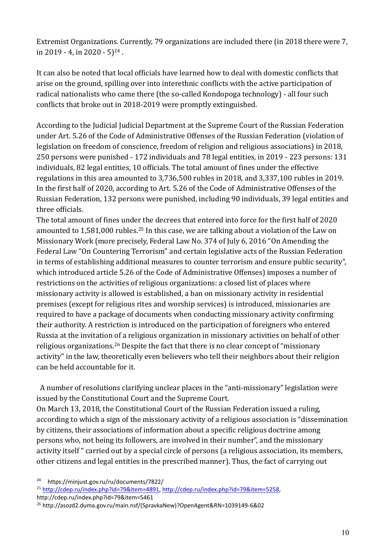Extremist Organizations. Currently, 79 organizations are included there (in 2018 there were 7, in 2019 - 4, in 2020 - 5 $^{24}$ .

It can also be noted that local officials have learned how to deal with domestic conflicts that arise on the ground, spilling over into interethnic conflicts with the active participation of radical nationalists who came there (the so-called Kondopoga technology) - all four such conflicts that broke out in 2018-2019 were promptly extinguished.

According to the Judicial Judicial Department at the Supreme Court of the Russian Federation under Art. 5.26 of the Code of Administrative Offenses of the Russian Federation (violation of legislation on freedom of conscience, freedom of religion and religious associations) in 2018, 250 persons were punished - 172 individuals and 78 legal entities, in 2019 - 223 persons: 131 individuals, 82 legal entities, 10 officials. The total amount of fines under the effective regulations in this area amounted to 3,736,500 rubles in 2018, and 3,337,100 rubles in 2019. In the first half of 2020, according to Art. 5.26 of the Code of Administrative Offenses of the Russian Federation, 132 persons were punished, including 90 individuals, 39 legal entities and three officials.

The total amount of fines under the decrees that entered into force for the first half of 2020 amounted to 1,581,000 rubles.<sup>25</sup> In this case, we are talking about a violation of the Law on Missionary Work (more precisely, Federal Law No. 374 of July 6, 2016 "On Amending the Federal Law "On Countering Terrorism" and certain legislative acts of the Russian Federation in terms of establishing additional measures to counter terrorism and ensure public security", which introduced article 5.26 of the Code of Administrative Offenses) imposes a number of restrictions on the activities of religious organizations: a closed list of places where missionary activity is allowed is established, a ban on missionary activity in residential premises (except for religious rites and worship services) is introduced, missionaries are required to have a package of documents when conducting missionary activity confirming their authority. A restriction is introduced on the participation of foreigners who entered Russia at the invitation of a religious organization in missionary activities on behalf of other religious organizations.<sup>26</sup> Despite the fact that there is no clear concept of "missionary activity" in the law, theoretically even believers who tell their neighbors about their religion can be held accountable for it.

 A number of resolutions clarifying unclear places in the "anti-missionary" legislation were issued by the Constitutional Court and the Supreme Court.

On March 13, 2018, the Constitutional Court of the Russian Federation issued a ruling, according to which a sign of the missionary activity of a religious association is "dissemination by citizens, their associations of information about a specific religious doctrine among persons who, not being its followers, are involved in their number", and the missionary activity itself " carried out by a special circle of persons (a religious association, its members, other citizens and legal entities in the prescribed manner). Thus, the fact of carrying out

<sup>24</sup> https://minjust.gov.ru/ru/documents/7822/

<sup>25</sup> [http://cdep.ru/index.php?id=79&item=4891,](http://cdep.ru/index.php?id=79&item=4891) [http://cdep.ru/index.php?id=79&item=5258,](http://cdep.ru/index.php?id=79&item=5258) http://cdep.ru/index.php?id=79&item=5461

<sup>26</sup> http://asozd2.duma.gov.ru/main.nsf/(SpravkaNew)?OpenAgent&RN=1039149-6&02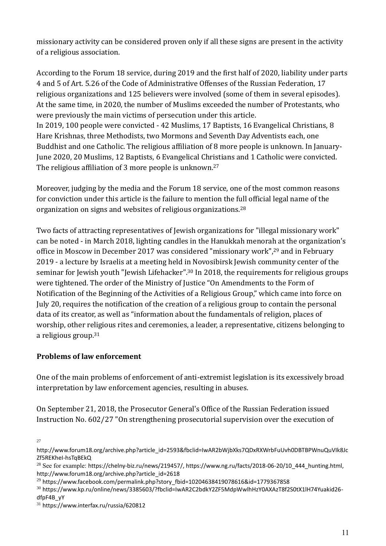missionary activity can be considered proven only if all these signs are present in the activity of a religious association.

According to the Forum 18 service, during 2019 and the first half of 2020, liability under parts 4 and 5 of Art. 5.26 of the Code of Administrative Offenses of the Russian Federation, 17 religious organizations and 125 believers were involved (some of them in several episodes). At the same time, in 2020, the number of Muslims exceeded the number of Protestants, who were previously the main victims of persecution under this article. In 2019, 100 people were convicted - 42 Muslims, 17 Baptists, 16 Evangelical Christians, 8 Hare Krishnas, three Methodists, two Mormons and Seventh Day Adventists each, one Buddhist and one Catholic. The religious affiliation of 8 more people is unknown. In January-June 2020, 20 Muslims, 12 Baptists, 6 Evangelical Christians and 1 Catholic were convicted. The religious affiliation of 3 more people is unknown.<sup>27</sup>

Moreover, judging by the media and the Forum 18 service, one of the most common reasons for conviction under this article is the failure to mention the full official legal name of the organization on signs and websites of religious organizations.<sup>28</sup>

Two facts of attracting representatives of Jewish organizations for "illegal missionary work" can be noted - in March 2018, lighting candles in the Hanukkah menorah at the organization's office in Moscow in December 2017 was considered "missionary work",<sup>29</sup> and in February 2019 - a lecture by Israelis at a meeting held in Novosibirsk Jewish community center of the seminar for Jewish youth "Jewish Lifehacker". <sup>30</sup> In 2018, the requirements for religious groups were tightened. The order of the Ministry of Justice "On Amendments to the Form of Notification of the Beginning of the Activities of a Religious Group," which came into force on July 20, requires the notification of the creation of a religious group to contain the personal data of its creator, as well as "information about the fundamentals of religion, places of worship, other religious rites and ceremonies, a leader, a representative, citizens belonging to a religious group.<sup>31</sup>

# **Problems of law enforcement**

One of the main problems of enforcement of anti-extremist legislation is its excessively broad interpretation by law enforcement agencies, resulting in abuses.

On September 21, 2018, the Prosecutor General's Office of the Russian Federation issued Instruction No. 602/27 "On strengthening prosecutorial supervision over the execution of

27

http://www.forum18.org/archive.php?article\_id=2593&fbclid=IwAR2bWjbXks7QDxRXWrbFuUvh0DBTBPWnuQuVIk8Jc Zf5REKheI-hsTqBEkQ

<sup>&</sup>lt;sup>28</sup> See for example: [https://chelny-biz.ru/news/219457/,](https://chelny-biz.ru/news/219457/) [https://www.ng.ru/facts/2018-06-20/10\\_444\\_hunting.html,](https://www.ng.ru/facts/2018-06-20/10_444_hunting.html) [http://www.forum18.org/archive.php?article\\_id=2618](http://www.forum18.org/archive.php?article_id=2618)

<sup>&</sup>lt;sup>29</sup> [https://www.facebook.com/permalink.php?story\\_fbid=10204638419078616&id=1779367858](https://www.facebook.com/permalink.php?story_fbid=10204638419078616&id=1779367858)

<sup>30</sup> https://www.kp.ru/online/news/3385603/?fbclid=IwAR2C2bdkY2ZF5MdpWwlhHzY0AXAzT8f2S0tX1lH74Yuakid26 dfpF4B\_yY

<sup>31</sup> https://www.interfax.ru/russia/620812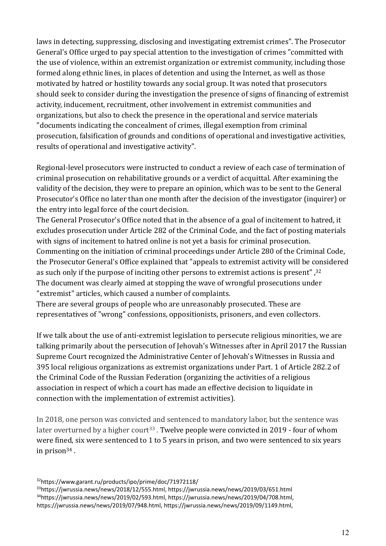laws in detecting, suppressing, disclosing and investigating extremist crimes". The Prosecutor General's Office urged to pay special attention to the investigation of crimes "committed with the use of violence, within an extremist organization or extremist community, including those formed along ethnic lines, in places of detention and using the Internet, as well as those motivated by hatred or hostility towards any social group. It was noted that prosecutors should seek to consider during the investigation the presence of signs of financing of extremist activity, inducement, recruitment, other involvement in extremist communities and organizations, but also to check the presence in the operational and service materials "documents indicating the concealment of crimes, illegal exemption from criminal prosecution, falsification of grounds and conditions of operational and investigative activities, results of operational and investigative activity".

Regional-level prosecutors were instructed to conduct a review of each case of termination of criminal prosecution on rehabilitative grounds or a verdict of acquittal. After examining the validity of the decision, they were to prepare an opinion, which was to be sent to the General Prosecutor's Office no later than one month after the decision of the investigator (inquirer) or the entry into legal force of the court decision.

The General Prosecutor's Office noted that in the absence of a goal of incitement to hatred, it excludes prosecution under Article 282 of the Criminal Code, and the fact of posting materials with signs of incitement to hatred online is not yet a basis for criminal prosecution. Commenting on the initiation of criminal proceedings under Article 280 of the Criminal Code, the Prosecutor General's Office explained that "appeals to extremist activity will be considered as such only if the purpose of inciting other persons to extremist actions is present" ,<sup>32</sup> The document was clearly aimed at stopping the wave of wrongful prosecutions under "extremist" articles, which caused a number of complaints.

There are several groups of people who are unreasonably prosecuted. These are representatives of "wrong" confessions, oppositionists, prisoners, and even collectors.

If we talk about the use of anti-extremist legislation to persecute religious minorities, we are talking primarily about the persecution of Jehovah's Witnesses after in April 2017 the Russian Supreme Court recognized the Administrative Center of Jehovah's Witnesses in Russia and 395 local religious organizations as extremist organizations under Part. 1 of Article 282.2 of the Criminal Code of the Russian Federation (organizing the activities of a religious association in respect of which a court has made an effective decision to liquidate in connection with the implementation of extremist activities).

In 2018, one person was convicted and sentenced to mandatory labor, but the sentence was later overturned by a higher court<sup>33</sup>. Twelve people were convicted in 2019 - four of whom were fined, six were sentenced to 1 to 5 years in prison, and two were sentenced to six years in prison<sup>34</sup> .

https://www.garant.ru/products/ipo/prime/doc/71972118/ https://jwrussia.news/news/2018/12/555.html, https://jwrussia.news/news/2019/03/651.html https://jwrussia.news/news/2019/02/593.html, https://jwrussia.news/news/2019/04/708.html, https://jwrussia.news/news/2019/07/948.html, https://jwrussia.news/news/2019/09/1149.html,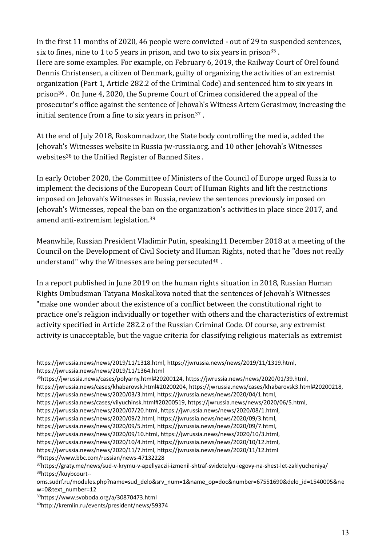In the first 11 months of 2020, 46 people were convicted - out of 29 to suspended sentences, six to fines, nine to 1 to 5 years in prison, and two to six years in prison<sup>35</sup>. Here are some examples. For example, on February 6, 2019, the Railway Court of Orel found Dennis Christensen, a citizen of Denmark, guilty of organizing the activities of an extremist organization (Part 1, Article 282.2 of the Criminal Code) and sentenced him to six years in prison<sup>36</sup> . On June 4, 2020, the Supreme Court of Crimea considered the appeal of the prosecutor's office against the sentence of Jehovah's Witness Artem Gerasimov, increasing the initial sentence from a fine to six years in prison $37$ .

At the end of July 2018, Roskomnadzor, the State body controlling the media, added the Jehovah's Witnesses website in Russia jw-russia.org. and 10 other Jehovah's Witnesses websites<sup>38</sup> to the Unified Register of Banned Sites.

[In early](https://kirov.sledcom.ru/news/item/1510118/Внчале) October 2020, the Committee of Ministers of the Council of Europe urged Russia to implement the decisions of the European Court of Human Rights and lift the restrictions imposed on Jehovah's Witnesses in Russia, review the sentences previously imposed on Jehovah's Witnesses, repeal the ban on the organization's activities in place since 2017, and amend anti-extremism legislation. 39

Meanwhile, Russian President Vladimir Putin, speaking11 December 2018 at a meeting of the Council on the Development of Civil Society and Human Rights, noted that he "does not really understand" why the Witnesses are being persecuted $40$ .

In a report published in June 2019 on the human rights situation in 2018, Russian Human Rights Ombudsman Tatyana Moskalkova noted that the sentences of Jehovah's Witnesses "make one wonder about the existence of a conflict between the constitutional right to practice one's religion individually or together with others and the characteristics of extremist activity specified in Article 282.2 of the Russian Criminal Code. Of course, any extremist activity is unacceptable, but the vague criteria for classifying religious materials as extremist

https://jwrussia.news/news/2020/10/4.html, https://jwrussia.news/news/2020/10/12.html,

```
https://jwrussia.news/news/2020/11/7.html, https://jwrussia.news/news/2020/11/12.html
```
<sup>36</sup>https://www.bbc.com/russian/news-47132228

https://jwrussia.news/news/2019/11/1318.html, https://jwrussia.news/news/2019/11/1319.html, https://jwrussia.news/news/2019/11/1364.html

<sup>35</sup>https://jwrussia.news/cases/polyarny.html#20200124, https://jwrussia.news/news/2020/01/39.html,

https://jwrussia.news/cases/khabarovsk.html#20200204, https://jwrussia.news/cases/khabarovsk3.html#20200218,

https://jwrussia.news/news/2020/03/3.html, https://jwrussia.news/news/2020/04/1.html,

https://jwrussia.news/cases/vilyuchinsk.html#20200519, https://jwrussia.news/news/2020/06/5.html,

https://jwrussia.news/news/2020/07/20.html, https://jwrussia.news/news/2020/08/1.html,

https://jwrussia.news/news/2020/09/2.html, https://jwrussia.news/news/2020/09/3.html,

https://jwrussia.news/news/2020/09/5.html, https://jwrussia.news/news/2020/09/7.html,

https://jwrussia.news/news/2020/09/10.html, https://jwrussia.news/news/2020/10/3.html,

<sup>37</sup>https://graty.me/news/sud-v-krymu-v-apellyaczii-izmenil-shtraf-svidetelyu-iegovy-na-shest-let-zaklyucheniya/ <sup>38</sup>[https://kuybcourt--](https://kuybcourt--oms.sudrf.ru/modules.php?name=sud_delo&srv_num=1&name_op=doc&number=67551690&delo_id=1540005&new=0&text_number=12)

[oms.sudrf.ru/modules.php?name=sud\\_delo&srv\\_num=1&name\\_op=doc&number=67551690&delo\\_id=1540005&ne](https://kuybcourt--oms.sudrf.ru/modules.php?name=sud_delo&srv_num=1&name_op=doc&number=67551690&delo_id=1540005&new=0&text_number=12) [w=0&text\\_number=12](https://kuybcourt--oms.sudrf.ru/modules.php?name=sud_delo&srv_num=1&name_op=doc&number=67551690&delo_id=1540005&new=0&text_number=12)

<sup>39</sup>https://www.svoboda.org/a/30870473.html

<sup>40</sup>http://kremlin.ru/events/president/news/59374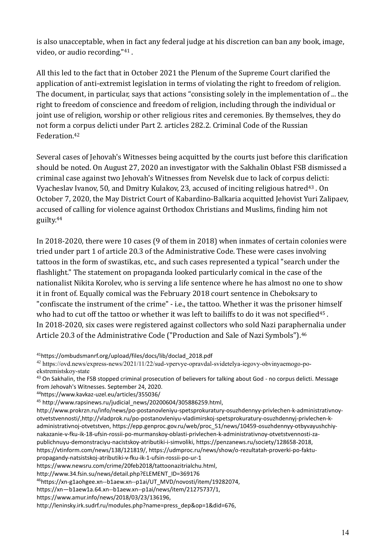is also unacceptable, when in fact any federal judge at his discretion can ban any book, image, video, or audio recording."<sup>41</sup> .

All this led to the fact that in October 2021 the Plenum of the Supreme Court clarified the application of anti-extremist legislation in terms of violating the right to freedom of religion. The document, in particular, says that actions "consisting solely in the implementation of ... the right to freedom of conscience and freedom of religion, including through the individual or joint use of religion, worship or other religious rites and ceremonies. By themselves, they do not form a corpus delicti under Part 2. articles 282.2. Criminal Code of the Russian Federation.<sup>42</sup>

Several cases of Jehovah's Witnesses being acquitted by the courts just before this clarification should be noted. On August 27, 2020 an investigator with the Sakhalin Oblast FSB dismissed a criminal case against two Jehovah's Witnesses from Nevelsk due to lack of corpus delicti: Vyacheslav Ivanov, 50, and Dmitry Kulakov, 23, accused of inciting religious hatred<sup>43</sup>. On October 7, 2020, the May District Court of Kabardino-Balkaria acquitted Jehovist Yuri Zalipaev, accused of calling for violence against Orthodox Christians and Muslims, finding him not guilty. 44

In 2018-2020, there were 10 cases (9 of them in 2018) when inmates of certain colonies were tried under part 1 of article 20.3 of the Administrative Code. These were cases involving tattoos in the form of swastikas, etc., and such cases represented a typical "search under the flashlight." The statement on propaganda looked particularly comical in the case of the nationalist Nikita Korolev, who is serving a life sentence where he has almost no one to show it in front of. Equally comical was the February 2018 court sentence in Cheboksary to "confiscate the instrument of the crime" - i.e., the tattoo. Whether it was the prisoner himself who had to cut off the tattoo or whether it was left to bailiffs to do it was not specified<sup>45</sup>. In 2018-2020, six cases were registered against collectors who sold Nazi paraphernalia under Article 20.3 of the Administrative Code ("Production and Sale of Nazi Symbols").<sup>46</sup>

<sup>41</sup>https://ombudsmanrf.org/upload/files/docs/lib/doclad\_2018.pdf

<sup>42</sup> https://ovd.news/express-news/2021/11/22/sud-vpervye-opravdal-svidetelya-iegovy-obvinyaemogo-poekstremistskoy-state

<sup>43</sup> On Sakhalin, the FSB stopped criminal prosecution of believers for talking about God - no corpus delicti. Message from Jehovah's Witnesses. September 24, 2020.

<sup>44</sup><https://www.kavkaz-uzel.eu/articles/355036/>

<sup>45</sup> http://www.rapsinews.ru/judicial\_news/20200604/305886259.html.

http://www.prokrzn.ru/info/news/po-postanovleniyu-spetsprokuratury-osuzhdennyy-privlechen-k-administrativnoyotvetstvennosti/,http://vladprok.ru/po-postanovleniyu-vladimirskoj-spetsprokuratury-osuzhdennyj-privlechen-kadministrativnoj-otvetstven, https://epp.genproc.gov.ru/web/proc\_51/news/10459-osuzhdennyy-otbyvayushchiynakazanie-v-fku-ik-18-ufsin-rossii-po-murmanskoy-oblasti-privlechen-k-administrativnoy-otvetstvennosti-zapublichnuyu-demonstraciyu-nacistskoy-atributiki-i-simvoliki, https://penzanews.ru/society/128658-2018, https://vtinform.com/news/138/121819/, https://udmproc.ru/news/show/o-rezultatah-proverki-po-faktupropagandy-natsistskoj-atributiki-v-fku-ik-1-ufsin-rossii-po-ur-1

https://www.newsru.com/crime/20feb2018/tattoonazitrialchu.html,

http://www.34.fsin.su/news/detail.php?ELEMENT\_ID=369176

<sup>46</sup>https://xn-g1aohgee.xn--b1aew.xn--p1ai/UT\_MVD/novosti/item/19282074,

https://xn—b1aew1a.64.xn--b1aew.xn--p1ai/news/item/21275737/1,

https://www.amur.info/news/2018/03/23/136196,

http://leninsky.irk.sudrf.ru/modules.php?name=press\_dep&op=1&did=676,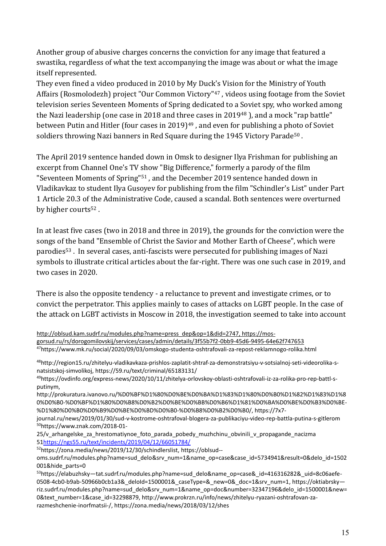Another group of abusive charges concerns the conviction for any image that featured a swastika, regardless of what the text accompanying the image was about or what the image itself represented.

They even fined a video produced in 2010 by My Duck's Vision for the Ministry of Youth Affairs (Rosmolodezh) project "Our Common Victory"<sup>47</sup> , videos using footage from the Soviet television series Seventeen Moments of Spring dedicated to a Soviet spy, who worked among the Nazi leadership (one case in 2018 and three cases in 2019<sup>48</sup>), and a mock "rap battle" between Putin and Hitler (four cases in 2019)<sup>49</sup>, and even for publishing a photo of Soviet soldiers throwing Nazi banners in Red Square during the 1945 Victory Parade<sup>50</sup>.

The April 2019 sentence handed down in Omsk to designer Ilya Frishman for publishing an excerpt from Channel One's TV show "Big Difference," formerly a parody of the film "Seventeen Moments of Spring"<sup>51</sup> , and the December 2019 sentence handed down in Vladikavkaz to student Ilya Gusoyev for publishing from the film "Schindler's List" under Part 1 Article 20.3 of the Administrative Code, caused a scandal. Both sentences were overturned by higher courts<sup>52</sup>.

In at least five cases (two in 2018 and three in 2019), the grounds for the conviction were the songs of the band "Ensemble of Christ the Savior and Mother Earth of Cheese", which were parodies<sup>53</sup> . In several cases, anti-fascists were persecuted for publishing images of Nazi symbols to illustrate critical articles about the far-right. There was one such case in 2019, and two cases in 2020.

There is also the opposite tendency - a reluctance to prevent and investigate crimes, or to convict the perpetrator. This applies mainly to cases of attacks on LGBT people. In the case of the attack on LGBT activists in Moscow in 2018, the investigation seemed to take into account

| http://oblsud.kam.sudrf.ru/modules.php?name=press_dep&op=1&did=2747, https://mos-                                |
|------------------------------------------------------------------------------------------------------------------|
| gorsud.ru/rs/dorogomilovskij/services/cases/admin/details/3f55b7f2-0bb9-45d6-9495-64e62f747653                   |
| <sup>47</sup> https://www.mk.ru/social/2020/09/03/omskogo-studenta-oshtrafovali-za-repost-reklamnogo-rolika.html |

<sup>48</sup>http://region15.ru/zhitelyu-vladikavkaza-prishlos-zaplatit-shtraf-za-demonstratsiyu-v-sotsialnoj-seti-videorolika-snatsistskoj-simvolikoj, https://59.ru/text/criminal/65183131/

http://prokuratura.ivanovo.ru/%D0%BF%D1%80%D0%BE%D0%BA%D1%83%D1%80%D0%B0%D1%82%D1%83%D1%8 0%D0%B0-%D0%BF%D1%80%D0%B8%D0%B2%D0%BE%D0%BB%D0%B6%D1%81%D0%BA%D0%BE%D0%B3%D0%BE- %D1%80%D0%B0%D0%B9%D0%BE%D0%BD%D0%B0-%D0%B8%D0%B2%D0%B0/, https://7x7-

journal.ru/news/2019/01/30/sud-v-kostrome-oshtrafoval-blogera-za-publikaciyu-video-rep-battla-putina-s-gitlerom <sup>50</sup>https://www.znak.com/2018-01-

25/v arhangelske za hrestomatiynoe foto parada pobedy muzhchinu obvinili v propagande nacizma 51<https://ngs55.ru/text/incidents/2019/04/12/66051784/>

<sup>52</sup>https://zona.media/news/2019/12/30/schindlerslist, https://oblsud--

<sup>49</sup>https://ovdinfo.org/express-news/2020/10/11/zhitelya-orlovskoy-oblasti-oshtrafovali-iz-za-rolika-pro-rep-battl-sputinym,

oms.sudrf.ru/modules.php?name=sud\_delo&srv\_num=1&name\_op=case&case\_id=5734941&result=0&delo\_id=1502 001&hide\_parts=0

<sup>53</sup>https://elabuzhsky-tat.sudrf.ru/modules.php?name=sud\_delo&name\_op=case&\_id=416316282&\_uid=8c06aefe-0508-4cb0-b9ab-50966b0cb1a3&deloId=1500001&\_caseType=&\_new=0&\_doc=1&srv\_num=1, https://oktiabrskyriz.sudrf.ru/modules.php?name=sud\_delo&srv\_num=1&name\_op=doc&number=32347196&delo\_id=1500001&new= 0&text\_number=1&case\_id=32298879, http://www.prokrzn.ru/info/news/zhitelyu-ryazani-oshtrafovan-zarazmeshchenie-inorfmatsii-/, https://zona.media/news/2018/03/12/shes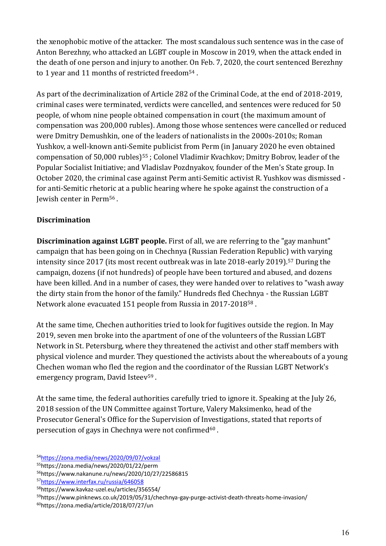the xenophobic motive of the attacker. The most scandalous such sentence was in the case of Anton Berezhny, who attacked an LGBT couple in Moscow in 2019, when the attack ended in the death of one person and injury to another. On Feb. 7, 2020, the court sentenced Berezhny to 1 year and 11 months of restricted freedom<sup>54</sup>.

As part of the decriminalization of Article 282 of the Criminal Code, at the end of 2018-2019, criminal cases were terminated, verdicts were cancelled, and sentences were reduced for 50 people, of whom nine people obtained compensation in court (the maximum amount of compensation was 200,000 rubles). Among those whose sentences were cancelled or reduced were Dmitry Demushkin, one of the leaders of nationalists in the 2000s-2010s; Roman Yushkov, a well-known anti-Semite publicist from Perm (in January 2020 he even obtained compensation of 50,000 rubles)<sup>55</sup>; Colonel Vladimir Kvachkov; Dmitry Bobrov, leader of the Popular Socialist Initiative; and Vladislav Pozdnyakov, founder of the Men's State group. In October 2020, the criminal case against Perm anti-Semitic activist R. Yushkov was dismissed for anti-Semitic rhetoric at a public hearing where he spoke against the construction of a Jewish center in Perm<sup>56</sup> .

#### **Discrimination**

**Discrimination against LGBT people.** First of all, we are referring to the "gay manhunt" campaign that has been going on in Chechnya (Russian Federation Republic) with varying intensity since 2017 (its most recent outbreak was in late 2018-early 2019).<sup>57</sup> During the campaign, dozens (if not hundreds) of people have been tortured and abused, and dozens have been killed. And in a number of cases, they were handed over to relatives to "wash away the dirty stain from the honor of the family." Hundreds fled Chechnya - the Russian LGBT Network alone evacuated 151 people from Russia in 2017-2018<sup>58</sup> .

At the same time, Chechen authorities tried to look for fugitives outside the region. In May 2019, seven men broke into the apartment of one of the volunteers of the Russian LGBT Network in St. Petersburg, where they threatened the activist and other staff members with physical violence and murder. They questioned the activists about the whereabouts of a young Chechen woman who fled the region and the coordinator of the Russian LGBT Network's emergency program, David Isteev<sup>59</sup>.

At the same time, the federal authorities carefully tried to ignore it. Speaking at the July 26, 2018 session of the UN Committee against Torture, Valery Maksimenko, head of the Prosecutor General's Office for the Supervision of Investigations, stated that reports of persecution of gays in Chechnya were not confirmed<sup>60</sup>.

<sup>54</sup>https://zona.media/news/2020/09/07/vokzal

<sup>55</sup>https://zona.media/news/2020/01/22/perm

<sup>56</sup>https://www.nakanune.ru/news/2020/10/27/22586815

<sup>57</sup>https://www.interfax.ru/russia/646058

<sup>58</sup>https://www.kavkaz-uzel.eu/articles/356554/

<sup>59</sup>https://www.pinknews.co.uk/2019/05/31/chechnya-gay-purge-activist-death-threats-home-invasion/

<sup>60</sup>https://zona.media/article/2018/07/27/un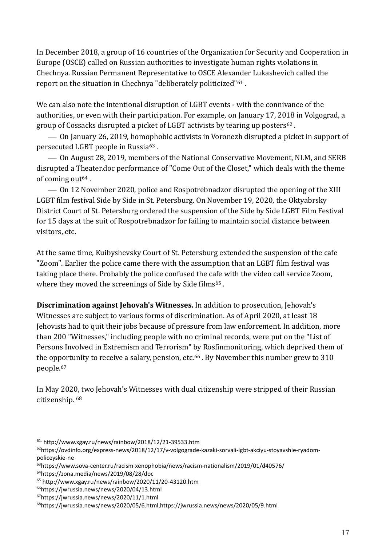In December 2018, a group of 16 countries of the Organization for Security and Cooperation in Europe (OSCE) called on Russian authorities to investigate human rights violations in Chechnya. Russian Permanent Representative to OSCE Alexander Lukashevich called the report on the situation in Chechnya "deliberately politicized"<sup>61</sup> .

We can also note the intentional disruption of LGBT events - with the connivance of the authorities, or even with their participation. For example, on January 17, 2018 in Volgograd, a group of Cossacks disrupted a picket of LGBT activists by tearing up posters<sup>62</sup>.

⎯ On January 26, 2019, homophobic activists in Voronezh disrupted a picket in support of persecuted LGBT people in Russia<sup>63</sup> .

⎯ On August 28, 2019, members of the National Conservative Movement, NLM, and SERB disrupted a Theater.doc performance of "Come Out of the Closet," which deals with the theme of coming out $64$ .

⎯ On 12 November 2020, police and Rospotrebnadzor disrupted the opening of the XIII LGBT film festival Side by Side in St. Petersburg. On November 19, 2020, the Oktyabrsky District Court of St. Petersburg ordered the suspension of the Side by Side LGBT Film Festival for 15 days at the suit of Rospotrebnadzor for failing to maintain social distance between visitors, etc.

At the same time, Kuibyshevsky Court of St. Petersburg extended the suspension of the cafe "Zoom". Earlier the police came there with the assumption that an LGBT film festival was taking place there. Probably the police confused the cafe with the video call service Zoom, where they moved the screenings of Side by Side films<sup>65</sup>.

**Discrimination against Jehovah's Witnesses.** In addition to prosecution, Jehovah's Witnesses are subject to various forms of discrimination. As of April 2020, at least 18 Jehovists had to quit their jobs because of pressure from law enforcement. In addition, more than 200 "Witnesses," including people with no criminal records, were put on the "List of Persons Involved in Extremism and Terrorism" by Rosfinmonitoring, which deprived them of the opportunity to receive a salary, pension, etc.<sup>66</sup>. By November this number grew to 310 people. 67

In May 2020, two Jehovah's Witnesses with dual citizenship were stripped of their Russian citizenship. 68

 $61.$  http://www.xgay.ru/news/rainbow/2018/12/21-39533.htm

<sup>62</sup>[https://ovdinfo.org/express-news/2018/12/17/v-volgograde-kazaki-sorvali-lgbt-akciyu-stoyavshie-ryadom](https://ovdinfo.org/express-news/2018/12/17/v-volgograde-kazaki-sorvali-lgbt-akciyu-stoyavshie-ryadom-policeyskie-ne)[policeyskie-ne](https://ovdinfo.org/express-news/2018/12/17/v-volgograde-kazaki-sorvali-lgbt-akciyu-stoyavshie-ryadom-policeyskie-ne) 

<sup>63</sup>https://www.sova-center.ru/racism-xenophobia/news/racism-nationalism/2019/01/d40576/

<sup>64</sup>https://zona.media/news/2019/08/28/doc

<sup>65</sup> <http://www.xgay.ru/news/rainbow/2020/11/20-43120.htm>

<sup>66</sup>https://jwrussia.news/news/2020/04/13.html

<sup>67</sup>https://jwrussia.news/news/2020/11/1.html

<sup>68</sup>https://jwrussia.news/news/2020/05/6.html,https://jwrussia.news/news/2020/05/9.html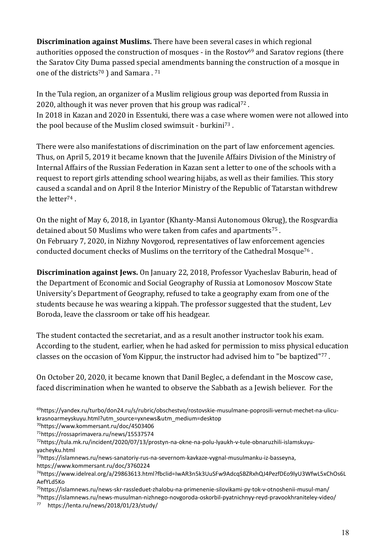**Discrimination against Muslims.** There have been several cases in which regional authorities opposed the construction of mosques - in the Rostov<sup>69</sup> and Saratov regions (there the Saratov City Duma passed special amendments banning the construction of a mosque in one of the districts<sup>70</sup> ) and Samara . <sup>71</sup>

In the Tula region, an organizer of a Muslim religious group was deported from Russia in 2020, although it was never proven that his group was radical<sup>72</sup>. In 2018 in Kazan and 2020 in Essentuki, there was a case where women were not allowed into the pool because of the Muslim closed swimsuit - burkini<sup>73</sup> .

There were also manifestations of discrimination on the part of law enforcement agencies. Thus, on April 5, 2019 it became known that the Juvenile Affairs Division of the Ministry of Internal Affairs of the Russian Federation in Kazan sent a letter to one of the schools with a request to report girls attending school wearing hijabs, as well as their families. This story caused a scandal and on April 8 the Interior Ministry of the Republic of Tatarstan withdrew the letter<sup>74</sup>.

On the night of May 6, 2018, in Lyantor (Khanty-Mansi Autonomous Okrug), the Rosgvardia detained about 50 Muslims who were taken from cafes and apartments<sup>75</sup>. On February 7, 2020, in Nizhny Novgorod, representatives of law enforcement agencies conducted document checks of Muslims on the territory of the Cathedral Mosque<sup>76</sup>.

**Discrimination against Jews.** On January 22, 2018, Professor Vyacheslav Baburin, head of the Department of Economic and Social Geography of Russia at Lomonosov Moscow State University's Department of Geography, refused to take a geography exam from one of the students because he was wearing a kippah. The professor suggested that the student, Lev Boroda, leave the classroom or take off his headgear.

The student contacted the secretariat, and as a result another instructor took his exam. According to the student, earlier, when he had asked for permission to miss physical education classes on the occasion of Yom Kippur, the instructor had advised him to "be baptized"<sup>77</sup> .

On October 20, 2020, it became known that Danil Beglec, a defendant in the Moscow case, faced discrimination when he wanted to observe the Sabbath as a Jewish believer. For the

<sup>70</sup>https://www.kommersant.ru/doc/4503406

<sup>71</sup>https://rossaprimavera.ru/news/15537574

<sup>73</sup>https://islamnews.ru/news-sanatoriy-rus-na-severnom-kavkaze-vygnal-musulmanku-iz-basseyna, https://www.kommersant.ru/doc/3760224

<sup>76</sup>https://islamnews.ru/news-musulman-nizhnego-novgoroda-oskorbil-pyatnichnyy-reyd-pravookhraniteley-video/

<sup>77</sup> https://lenta.ru/news/2018/01/23/study/

<sup>69</sup>https://yandex.ru/turbo/don24.ru/s/rubric/obschestvo/rostovskie-musulmane-poprosili-vernut-mechet-na-ulicukrasnoarmeyskuyu.html?utm\_source=yxnews&utm\_medium=desktop

<sup>72</sup>https://tula.mk.ru/incident/2020/07/13/prostyn-na-okne-na-polu-lyaukh-v-tule-obnaruzhili-islamskuyuyacheyku.html

<sup>74</sup>https://www.idelreal.org/a/29863613.html?fbclid=IwAR3n5k3UuSFw9AdcqSBZRxhQJ4PezfDEo9lyU3WfwL5xChOs6L AefYLd5Ko

<sup>75</sup>https://islamnews.ru/news-skr-rassleduet-zhalobu-na-primenenie-silovikami-py-tok-v-otnoshenii-musul-man/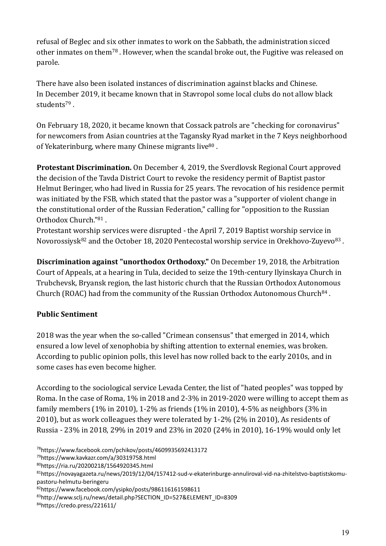refusal of Beglec and six other inmates to work on the Sabbath, the administration sicced other inmates on them<sup>78</sup> . However, when the scandal broke out, the Fugitive was released on parole.

There have also been isolated instances of discrimination against blacks and Chinese. In December 2019, it became known that in Stavropol some local clubs do not allow black students<sup>79</sup> .

On February 18, 2020, it became known that Cossack patrols are "checking for coronavirus" for newcomers from Asian countries at the Tagansky Ryad market in the 7 Keys neighborhood of Yekaterinburg, where many Chinese migrants live<sup>80</sup>.

**Protestant Discrimination.** On December 4, 2019, the Sverdlovsk Regional Court approved the decision of the Tavda District Court to revoke the residency permit of Baptist pastor Helmut Beringer, who had lived in Russia for 25 years. The revocation of his residence permit was initiated by the FSB, which stated that the pastor was a "supporter of violent change in the constitutional order of the Russian Federation," calling for "opposition to the Russian Orthodox Church."<sup>81</sup> .

Protestant worship services were disrupted - the April 7, 2019 Baptist worship service in Novorossiysk<sup>82</sup> and the October 18, 2020 Pentecostal worship service in Orekhovo-Zuyevo<sup>83</sup>.

**Discrimination against "unorthodox Orthodoxy."** On December 19, 2018, the Arbitration Court of Appeals, at a hearing in Tula, decided to seize the 19th-century Ilyinskaya Church in Trubchevsk, Bryansk region, the last historic church that the Russian Orthodox Autonomous Church (ROAC) had from the community of the Russian Orthodox Autonomous Church<sup>84</sup>.

# **Public Sentiment**

2018 was the year when the so-called "Crimean consensus" that emerged in 2014, which ensured a low level of xenophobia by shifting attention to external enemies, was broken. According to public opinion polls, this level has now rolled back to the early 2010s, and in some cases has even become higher.

According to the sociological service Levada Center, the list of "hated peoples" was topped by Roma. In the case of Roma, 1% in 2018 and 2-3% in 2019-2020 were willing to accept them as family members (1% in 2010), 1-2% as friends (1% in 2010), 4-5% as neighbors (3% in 2010), but as work colleagues they were tolerated by 1-2% (2% in 2010), As residents of Russia - 23% in 2018, 29% in 2019 and 23% in 2020 (24% in 2010), 16-19% would only let

<sup>78</sup>https://www.facebook.com/pchikov/posts/4609935692413172

<sup>79</sup>https://www.kavkazr.com/a/30319758.html

<sup>80</sup>https://ria.ru/20200218/1564920345.html

<sup>81</sup>https://novayagazeta.ru/news/2019/12/04/157412-sud-v-ekaterinburge-annuliroval-vid-na-zhitelstvo-baptistskomupastoru-helmutu-beringeru

<sup>82</sup>https://www.facebook.com/ysipko/posts/986116161598611

<sup>83</sup>[http://www.sclj.ru/news/detail.php?SECTION\\_ID=527&ELEMENT\\_ID=8309](http://www.sclj.ru/news/detail.php?SECTION_ID=527&ELEMENT_ID=8309)

<sup>84</sup>https://credo.press/221611/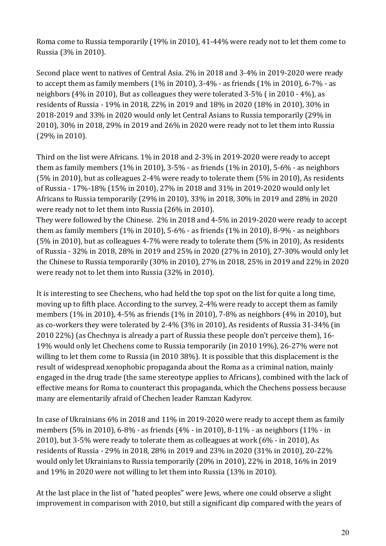Roma come to Russia temporarily (19% in 2010), 41-44% were ready not to let them come to Russia (3% in 2010).

Second place went to natives of Central Asia. 2% in 2018 and 3-4% in 2019-2020 were ready to accept them as family members (1% in 2010), 3-4% - as friends (1% in 2010), 6-7% - as neighbors (4% in 2010), But as colleagues they were tolerated 3-5% ( in 2010 - 4%), as residents of Russia - 19% in 2018, 22% in 2019 and 18% in 2020 (18% in 2010), 30% in 2018-2019 and 33% in 2020 would only let Central Asians to Russia temporarily (29% in 2010), 30% in 2018, 29% in 2019 and 26% in 2020 were ready not to let them into Russia (29% in 2010).

Third on the list were Africans. 1% in 2018 and 2-3% in 2019-2020 were ready to accept them as family members (1% in 2010), 3-5% - as friends (1% in 2010), 5-6% - as neighbors (5% in 2010), but as colleagues 2-4% were ready to tolerate them (5% in 2010), As residents of Russia - 17%-18% (15% in 2010), 27% in 2018 and 31% in 2019-2020 would only let Africans to Russia temporarily (29% in 2010), 33% in 2018, 30% in 2019 and 28% in 2020 were ready not to let them into Russia (26% in 2010).

They were followed by the Chinese. 2% in 2018 and 4-5% in 2019-2020 were ready to accept them as family members (1% in 2010), 5-6% - as friends (1% in 2010), 8-9% - as neighbors (5% in 2010), but as colleagues 4-7% were ready to tolerate them (5% in 2010), As residents of Russia - 32% in 2018, 28% in 2019 and 25% in 2020 (27% in 2010), 27-30% would only let the Chinese to Russia temporarily (30% in 2010), 27% in 2018, 25% in 2019 and 22% in 2020 were ready not to let them into Russia (32% in 2010).

It is interesting to see Chechens, who had held the top spot on the list for quite a long time, moving up to fifth place. According to the survey, 2-4% were ready to accept them as family members (1% in 2010), 4-5% as friends (1% in 2010), 7-8% as neighbors (4% in 2010), but as co-workers they were tolerated by 2-4% (3% in 2010), As residents of Russia 31-34% (in 2010 22%) (as Chechnya is already a part of Russia these people don't perceive them), 16- 19% would only let Chechens come to Russia temporarily (in 2010 19%), 26-27% were not willing to let them come to Russia (in 2010 38%). It is possible that this displacement is the result of widespread xenophobic propaganda about the Roma as a criminal nation, mainly engaged in the drug trade (the same stereotype applies to Africans), combined with the lack of effective means for Roma to counteract this propaganda, which the Chechens possess because many are elementarily afraid of Chechen leader Ramzan Kadyrov.

In case of Ukrainians 6% in 2018 and 11% in 2019-2020 were ready to accept them as family members (5% in 2010), 6-8% - as friends (4% - in 2010), 8-11% - as neighbors (11% - in 2010), but 3-5% were ready to tolerate them as colleagues at work (6% - in 2010), As residents of Russia - 29% in 2018, 28% in 2019 and 23% in 2020 (31% in 2010), 20-22% would only let Ukrainians to Russia temporarily (20% in 2010), 22% in 2018, 16% in 2019 and 19% in 2020 were not willing to let them into Russia (13% in 2010).

At the last place in the list of "hated peoples" were Jews, where one could observe a slight improvement in comparison with 2010, but still a significant dip compared with the years of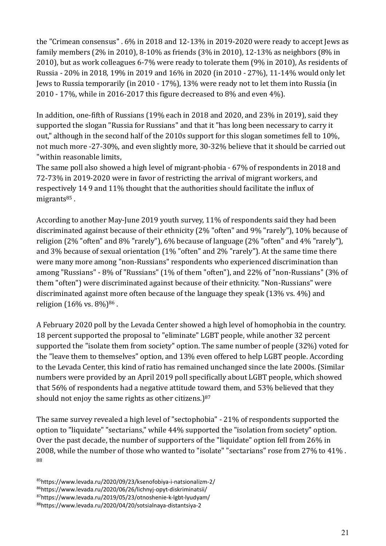the "Crimean consensus" . 6% in 2018 and 12-13% in 2019-2020 were ready to accept Jews as family members (2% in 2010), 8-10% as friends (3% in 2010), 12-13% as neighbors (8% in 2010), but as work colleagues 6-7% were ready to tolerate them (9% in 2010), As residents of Russia - 20% in 2018, 19% in 2019 and 16% in 2020 (in 2010 - 27%), 11-14% would only let Jews to Russia temporarily (in 2010 - 17%), 13% were ready not to let them into Russia (in 2010 - 17%, while in 2016-2017 this figure decreased to 8% and even 4%).

In addition, one-fifth of Russians (19% each in 2018 and 2020, and 23% in 2019), said they supported the slogan "Russia for Russians" and that it "has long been necessary to carry it out," although in the second half of the 2010s support for this slogan sometimes fell to 10%, not much more -27-30%, and even slightly more, 30-32% believe that it should be carried out "within reasonable limits,

The same poll also showed a high level of migrant-phobia - 67% of respondents in 2018 and 72-73% in 2019-2020 were in favor of restricting the arrival of migrant workers, and respectively 14 9 and 11% thought that the authorities should facilitate the influx of migrants $85$ .

According to another May-June 2019 youth survey, 11% of respondents said they had been discriminated against because of their ethnicity (2% "often" and 9% "rarely"), 10% because of religion (2% "often" and 8% "rarely"), 6% because of language (2% "often" and 4% "rarely"), and 3% because of sexual orientation (1% "often" and 2% "rarely"). At the same time there were many more among "non-Russians" respondents who experienced discrimination than among "Russians" - 8% of "Russians" (1% of them "often"), and 22% of "non-Russians" (3% of them "often") were discriminated against because of their ethnicity. "Non-Russians" were discriminated against more often because of the language they speak (13% vs. 4%) and religion (16% vs. 8%)<sup>86</sup> .

A February 2020 poll by the Levada Center showed a high level of homophobia in the country. 18 percent supported the proposal to "eliminate" LGBT people, while another 32 percent supported the "isolate them from society" option. The same number of people (32%) voted for the "leave them to themselves" option, and 13% even offered to help LGBT people. According to the Levada Center, this kind of ratio has remained unchanged since the late 2000s. (Similar numbers were provided by an April 2019 poll specifically about LGBT people, which showed that 56% of respondents had a negative attitude toward them, and 53% believed that they should not enjoy the same rights as other citizens.)<sup>87</sup>

The same survey revealed a high level of "sectophobia" - 21% of respondents supported the option to "liquidate" "sectarians," while 44% supported the "isolation from society" option. Over the past decade, the number of supporters of the "liquidate" option fell from 26% in 2008, while the number of those who wanted to "isolate" "sectarians" rose from 27% to 41% . 88

https://www.levada.ru/2020/09/23/ksenofobiya-i-natsionalizm-2/ https://www.levada.ru/2020/06/26/lichnyj-opyt-diskriminatsii/ https://www.levada.ru/2019/05/23/otnoshenie-k-lgbt-lyudyam/ https://www.levada.ru/2020/04/20/sotsialnaya-distantsiya-2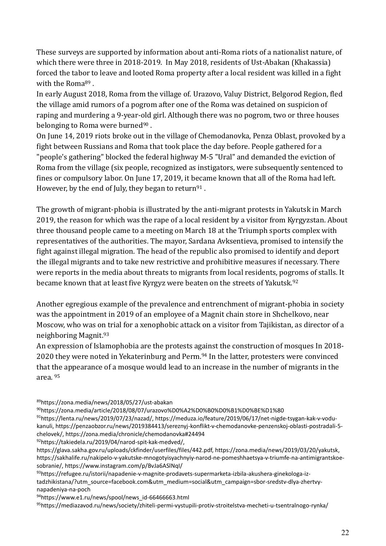These surveys are supported by information about anti-Roma riots of a nationalist nature, of which there were three in 2018-2019. In May 2018, residents of Ust-Abakan (Khakassia) forced the tabor to leave and looted Roma property after a local resident was killed in a fight with the Roma<sup>89</sup>.

In early August 2018, Roma from the village of. Urazovo, Valuy District, Belgorod Region, fled the village amid rumors of a pogrom after one of the Roma was detained on suspicion of raping and murdering a 9-year-old girl. Although there was no pogrom, two or three houses belonging to Roma were burned<sup>90</sup>.

On June 14, 2019 riots broke out in the village of Chemodanovka, Penza Oblast, provoked by a fight between Russians and Roma that took place the day before. People gathered for a "people's gathering" blocked the federal highway M-5 "Ural" and demanded the eviction of Roma from the village (six people, recognized as instigators, were subsequently sentenced to fines or compulsory labor. On June 17, 2019, it became known that all of the Roma had left. However, by the end of July, they began to return<sup>91</sup>.

The growth of migrant-phobia is illustrated by the anti-migrant protests in Yakutsk in March 2019, the reason for which was the rape of a local resident by a visitor from Kyrgyzstan. About three thousand people came to a meeting on March 18 at the Triumph sports complex with representatives of the authorities. The mayor, Sardana Avksentieva, promised to intensify the fight against illegal migration. The head of the republic also promised to identify and deport the illegal migrants and to take new restrictive and prohibitive measures if necessary. There were reports in the media about threats to migrants from local residents, pogroms of stalls. It became known that at least five Kyrgyz were beaten on the streets of Yakutsk. 92

Another egregious example of the prevalence and entrenchment of migrant-phobia in society was the appointment in 2019 of an employee of a Magnit chain store in Shchelkovo, near Moscow, who was on trial for a xenophobic attack on a visitor from Tajikistan, as director of a neighboring Magnit. 93

An expression of Islamophobia are the protests against the construction of mosques In 2018- 2020 they were noted in Yekaterinburg and Perm. <sup>94</sup> In the latter, protesters were convinced that the appearance of a mosque would lead to an increase in the number of migrants in the area. 95

<sup>89</sup>https://zona.media/news/2018/05/27/ust-abakan

<sup>90</sup>https://zona.media/article/2018/08/07/urazovo%D0%A2%D0%B0%D0%B1%D0%BE%D1%80

91https://lenta.ru/news/2019/07/23/nazad/, https://meduza.io/feature/2019/06/17/net-nigde-tsygan-kak-v-vodukanuli, https://penzaobzor.ru/news/2019384413/sereznyj-konflikt-v-chemodanovke-penzenskoj-oblasti-postradali-5 chelovek/, https://zona.media/chronicle/chemodanovka#24494

<sup>92</sup>https://takiedela.ru/2019/04/narod-spit-kak-medved/,

https://glava.sakha.gov.ru/uploads/ckfinder/userfiles/files/442.pdf, https://zona.media/news/2019/03/20/yakutsk, https://sakhalife.ru/nakipelo-v-yakutske-mnogotyisyachnyiy-narod-ne-pomeshhaetsya-v-triumfe-na-antimigrantskoesobranie/, https://www.instagram.com/p/BvJa6ASlNqI/

93https://refugee.ru/istorii/napadenie-v-magnite-prodavets-supermarketa-izbila-akushera-ginekologa-iztadzhikistana/?utm\_source=facebook.com&utm\_medium=social&utm\_campaign=sbor-sredstv-dlya-zhertvynapadeniya-na-poch

95https://mediazavod.ru/news/society/zhiteli-permi-vystupili-protiv-stroitelstva-mecheti-u-tsentralnogo-rynka/

<sup>94</sup>https://www.e1.ru/news/spool/news\_id-66466663.html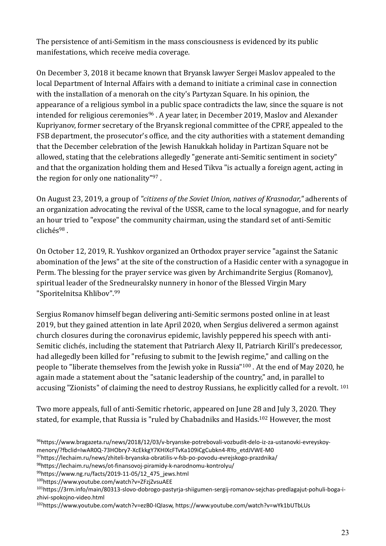The persistence of anti-Semitism in the mass consciousness is evidenced by its public manifestations, which receive media coverage.

On December 3, 2018 it became known that Bryansk lawyer Sergei Maslov appealed to the local Department of Internal Affairs with a demand to initiate a criminal case in connection with the installation of a menorah on the city's Partyzan Square. In his opinion, the appearance of a religious symbol in a public space contradicts the law, since the square is not intended for religious ceremonies<sup>96</sup>. A year later, in December 2019, Maslov and Alexander Kupriyanov, former secretary of the Bryansk regional committee of the CPRF, appealed to the FSB department, the prosecutor's office, and the city authorities with a statement demanding that the December celebration of the Jewish Hanukkah holiday in Partizan Square not be allowed, stating that the celebrations allegedly "generate anti-Semitic sentiment in society" and that the organization holding them and Hesed Tikva "is actually a foreign agent, acting in the region for only one nationality"<sup>97</sup> .

On August 23, 2019, a group of *"citizens of the Soviet Union, natives of Krasnodar,"* adherents of an organization advocating the revival of the USSR, came to the local synagogue, and for nearly an hour tried to "expose" the community chairman, using the standard set of anti-Semitic  $clicks<sup>98</sup>$ .

On October 12, 2019, R. Yushkov organized an Orthodox prayer service "against the Satanic abomination of the Jews" at the site of the construction of a Hasidic center with a synagogue in Perm. The blessing for the prayer service was given by Archimandrite Sergius (Romanov), spiritual leader of the Sredneuralsky nunnery in honor of the Blessed Virgin Mary "Sporitelnitsa Khlibov". 99

Sergius Romanov himself began delivering anti-Semitic sermons posted online in at least 2019, but they gained attention in late April 2020, when Sergius delivered a sermon against church closures during the coronavirus epidemic, lavishly peppered his speech with anti-Semitic clichés, including the statement that Patriarch Alexy II, Patriarch Kirill's predecessor, had allegedly been killed for "refusing to submit to the Jewish regime," and calling on the people to "liberate themselves from the Jewish yoke in Russia"<sup>100</sup> . At the end of May 2020, he again made a statement about the "satanic leadership of the country," and, in parallel to accusing "Zionists" of claiming the need to destroy Russians, he explicitly called for a revolt. <sup>101</sup>

Two more appeals, full of anti-Semitic rhetoric, appeared on June 28 and July 3, 2020. They stated, for example, that Russia is "ruled by Chabadniks and Hasids. <sup>102</sup> However, the most

<sup>96</sup>[https://www.bragazeta.ru/news/2018/12/03/v-bryanske-potrebovali-vozbudit-delo-iz-za-ustanovki-evreyskoy](https://www.bragazeta.ru/news/2018/12/03/v-bryanske-potrebovali-vozbudit-delo-iz-za-ustanovki-evreyskoy-menory/?fbclid=IwAR0Q-73HObry7-XcEkkgY7KHIXcFTvKa109iCgCubkn4-RYo_etdJVWE-M0)[menory/?fbclid=IwAR0Q-73HObry7-XcEkkgY7KHIXcFTvKa109iCgCubkn4-RYo\\_etdJVWE-M0](https://www.bragazeta.ru/news/2018/12/03/v-bryanske-potrebovali-vozbudit-delo-iz-za-ustanovki-evreyskoy-menory/?fbclid=IwAR0Q-73HObry7-XcEkkgY7KHIXcFTvKa109iCgCubkn4-RYo_etdJVWE-M0)

<sup>97</sup>https://lechaim.ru/news/zhiteli-bryanska-obratilis-v-fsb-po-povodu-evrejskogo-prazdnika/

<sup>98</sup><https://lechaim.ru/news/ot-finansovoj-piramidy-k-narodnomu-kontrolyu/>

<sup>99</sup>https://www.ng.ru/facts/2019-11-05/12\_475\_jews.html

<sup>100</sup>https://www.youtube.com/watch?v=ZFzjZvsuAEE

<sup>101</sup>https://3rm.info/main/80313-slovo-dobrogo-pastyrja-shiigumen-sergij-romanov-sejchas-predlagajut-pohuli-boga-izhivi-spokojno-video.html

<sup>102</sup>https://www.youtube.com/watch?v=ezB0-IQIasw, https://www.youtube.com/watch?v=wYk1bUTbLUs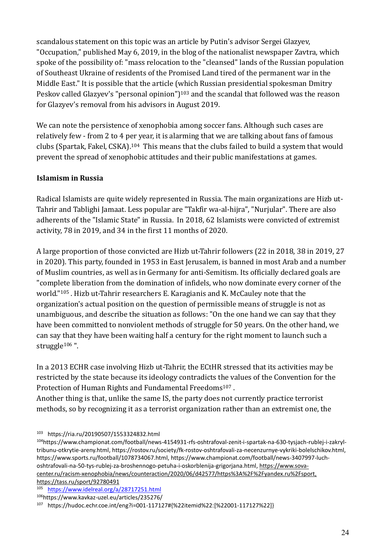scandalous statement on this topic was an article by Putin's advisor Sergei Glazyev, "Occupation," published May 6, 2019, in the blog of the nationalist newspaper Zavtra, which spoke of the possibility of: "mass relocation to the "cleansed" lands of the Russian population of Southeast Ukraine of residents of the Promised Land tired of the permanent war in the Middle East." It is possible that the article (which Russian presidential spokesman Dmitry Peskov called Glazyev's "personal opinion")<sup>103</sup> and the scandal that followed was the reason for Glazyev's removal from his advisors in August 2019.

We can note the persistence of xenophobia among soccer fans. Although such cases are relatively few - from 2 to 4 per year, it is alarming that we are talking about fans of famous clubs (Spartak, Fakel, CSKA).104 This means that the clubs failed to build a system that would prevent the spread of xenophobic attitudes and their public manifestations at games.

# **Islamism in Russia**

Radical Islamists are quite widely represented in Russia. The main organizations are Hizb ut-Tahrir and Tablighi Jamaat. Less popular are "Takfir wa-al-hijra", "Nurjular". There are also adherents of the "Islamic State" in Russia. In 2018, 62 Islamists were convicted of extremist activity, 78 in 2019, and 34 in the first 11 months of 2020.

A large proportion of those convicted are Hizb ut-Tahrir followers (22 in 2018, 38 in 2019, 27 in 2020). This party, founded in 1953 in East Jerusalem, is banned in most Arab and a number of Muslim countries, as well as in Germany for anti-Semitism. Its officially declared goals are "complete liberation from the domination of infidels, who now dominate every corner of the world."<sup>105</sup> . Hizb ut-Tahrir researchers E. Karagianis and K. McCauley note that the organization's actual position on the question of permissible means of struggle is not as unambiguous, and describe the situation as follows: "On the one hand we can say that they have been committed to nonviolent methods of struggle for 50 years. On the other hand, we can say that they have been waiting half a century for the right moment to launch such a struggle<sup>106</sup>".

In a 2013 ECHR case involving Hizb ut-Tahrir, the ECtHR stressed that its activities may be restricted by the state because its ideology contradicts the values of the Convention for the Protection of Human Rights and Fundamental Freedoms<sup>107</sup>.

Another thing is that, unlike the same IS, the party does not currently practice terrorist methods, so by recognizing it as a terrorist organization rather than an extremist one, the

<sup>103</sup> https://ria.ru/20190507/1553324832.html

104https://www.championat.com/football/news-4154931-rfs-oshtrafoval-zenit-i-spartak-na-630-tysjach-rublej-i-zakryltribunu-otkrytie-areny.html, https://rostov.ru/society/fk-rostov-oshtrafovali-za-necenzurnye-vykriki-bolelschikov.html, https://www.sports.ru/football/1078734067.html, https://www.championat.com/football/news-3407997-luchoshtrafovali-na-50-tys-rublej-za-broshennogo-petuha-i-oskorblenija-grigorjana.html, [https://www.sova](https://tass.ru/sport/92780491)[center.ru/racism-xenophobia/news/counteraction/2020/06/d42577/https%3A%2F%2Fyandex.ru%2Fsport,](https://tass.ru/sport/92780491)  <https://tass.ru/sport/92780491>

<sup>105</sup> <https://www.idelreal.org/a/28717251.html>

<sup>106</sup><https://www.kavkaz-uzel.eu/articles/235276/>

<sup>107</sup> https://hudoc.echr.coe.int/eng?i=001-117127#{%22itemid%22:[%22001-117127%22]}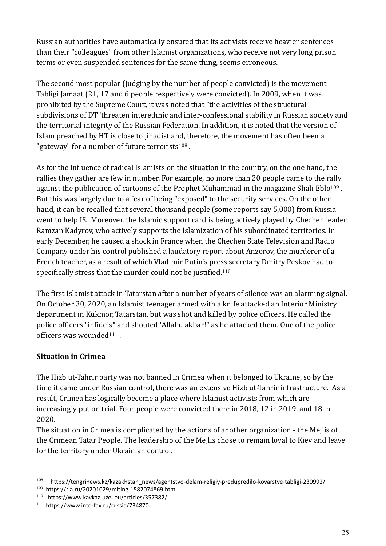Russian authorities have automatically ensured that its activists receive heavier sentences than their "colleagues" from other Islamist organizations, who receive not very long prison terms or even suspended sentences for the same thing, seems erroneous.

The second most popular (judging by the number of people convicted) is the movement Tabligi Jamaat (21, 17 and 6 people respectively were convicted). In 2009, when it was prohibited by the Supreme Court, it was noted that "the activities of the structural subdivisions of DT 'threaten interethnic and inter-confessional stability in Russian society and the territorial integrity of the Russian Federation. In addition, it is noted that the version of Islam preached by HT is close to jihadist and, therefore, the movement has often been a "gateway" for a number of future terrorists<sup>108</sup>.

As for the influence of radical Islamists on the situation in the country, on the one hand, the rallies they gather are few in number. For example, no more than 20 people came to the rally against the publication of cartoons of the Prophet Muhammad in the magazine Shali Eblo<sup>109</sup>. But this was largely due to a fear of being "exposed" to the security services. On the other hand, it can be recalled that several thousand people (some reports say 5,000) from Russia went to help IS. Moreover, the Islamic support card is being actively played by Chechen leader Ramzan Kadyrov, who actively supports the Islamization of his subordinated territories. In early December, he caused a shock in France when the Chechen State Television and Radio Company under his control published a laudatory report about Anzorov, the murderer of a French teacher, as a result of which Vladimir Putin's press secretary Dmitry Peskov had to specifically stress that the murder could not be justified.<sup>110</sup>

The first Islamist attack in Tatarstan after a number of years of silence was an alarming signal. On October 30, 2020, an Islamist teenager armed with a knife attacked an Interior Ministry department in Kukmor, Tatarstan, but was shot and killed by police officers. He called the police officers "infidels" and shouted "Allahu akbar!" as he attacked them. One of the police officers was wounded<sup>111</sup> .

# **Situation in Crimea**

The Hizb ut-Tahrir party was not banned in Crimea when it belonged to Ukraine, so by the time it came under Russian control, there was an extensive Hizb ut-Tahrir infrastructure. As a result, Crimea has logically become a place where Islamist activists from which are increasingly put on trial. Four people were convicted there in 2018, 12 in 2019, and 18 in 2020.

The situation in Crimea is complicated by the actions of another organization - the Mejlis of the Crimean Tatar People. The leadership of the Mejlis chose to remain loyal to Kiev and leave for the territory under Ukrainian control.

<sup>110</sup> https://www.kavkaz-uzel.eu/articles/357382/

<sup>108</sup> https://tengrinews.kz/kazakhstan\_news/agentstvo-delam-religiy-predupredilo-kovarstve-tabligi-230992/ 109 https://ria.ru/20201029/miting-1582074869.htm

<sup>111</sup> https://www.interfax.ru/russia/734870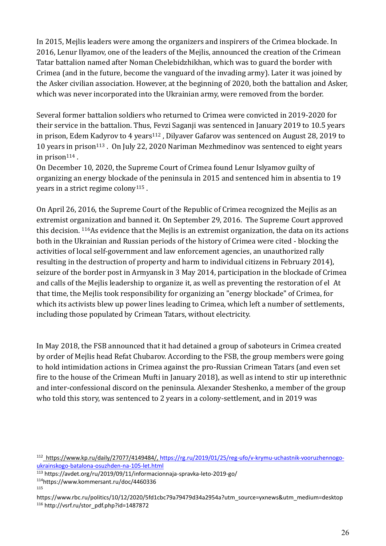In 2015, Mejlis leaders were among the organizers and inspirers of the Crimea blockade. In 2016, Lenur Ilyamov, one of the leaders of the Mejlis, announced the creation of the Crimean Tatar battalion named after Noman Chelebidzhikhan, which was to guard the border with Crimea (and in the future, become the vanguard of the invading army). Later it was joined by the Asker civilian association. However, at the beginning of 2020, both the battalion and Asker, which was never incorporated into the Ukrainian army, were removed from the border.

Several former battalion soldiers who returned to Crimea were convicted in 2019-2020 for their service in the battalion. Thus, Fevzi Saganji was sentenced in January 2019 to 10.5 years in prison, Edem Kadyrov to 4 years<sup>112</sup>, Dilyaver Gafarov was sentenced on August 28, 2019 to 10 years in prison<sup>113</sup>. On July 22, 2020 Nariman Mezhmedinov was sentenced to eight years in prison $114$ .

On December 10, 2020, the Supreme Court of Crimea found Lenur Islyamov guilty of organizing an energy blockade of the peninsula in 2015 and sentenced him in absentia to 19 years in a strict regime colony<sup>115</sup> .

On April 26, 2016, the Supreme Court of the Republic of Crimea recognized the Mejlis as an extremist organization and banned it. On September 29, 2016. The Supreme Court approved this decision. 116As evidence that the Mejlis is an extremist organization, the data on its actions both in the Ukrainian and Russian periods of the history of Crimea were cited - blocking the activities of local self-government and law enforcement agencies, an unauthorized rally resulting in the destruction of property and harm to individual citizens in February 2014), seizure of the border post in Armyansk in 3 May 2014, participation in the blockade of Crimea and calls of the Mejlis leadership to organize it, as well as preventing the restoration of el At that time, the Mejlis took responsibility for organizing an "energy blockade" of Crimea, for which its activists blew up power lines leading to Crimea, which left a number of settlements, including those populated by Crimean Tatars, without electricity.

In May 2018, the FSB announced that it had detained a group of saboteurs in Crimea created by order of Mejlis head Refat Chubarov. According to the FSB, the group members were going to hold intimidation actions in Crimea against the pro-Russian Crimean Tatars (and even set fire to the house of the Crimean Mufti in January 2018), as well as intend to stir up interethnic and inter-confessional discord on the peninsula. Alexander Steshenko, a member of the group who told this story, was sentenced to 2 years in a colony-settlement, and in 2019 was

115

<sup>&</sup>lt;sup>112</sup>\_https://www.kp.ru/daily/27077/4149484/, [https://rg.ru/2019/01/25/reg-ufo/v-krymu-uchastnik-vooruzhennogo](https://rg.ru/2019/01/25/reg-ufo/v-krymu-uchastnik-vooruzhennogo-ukrainskogo-batalona-osuzhden-na-105-let.html)[ukrainskogo-batalona-osuzhden-na-105-let.html](https://rg.ru/2019/01/25/reg-ufo/v-krymu-uchastnik-vooruzhennogo-ukrainskogo-batalona-osuzhden-na-105-let.html)

<sup>113</sup> https://avdet.org/ru/2019/09/11/informacionnaja-spravka-leto-2019-go/

<sup>114</sup><https://www.kommersant.ru/doc/4460336>

https://www.rbc.ru/politics/10/12/2020/5fd1cbc79a79479d34a2954a?utm\_source=yxnews&utm\_medium=desktop <sup>116</sup> http://vsrf.ru/stor\_pdf.php?id=1487872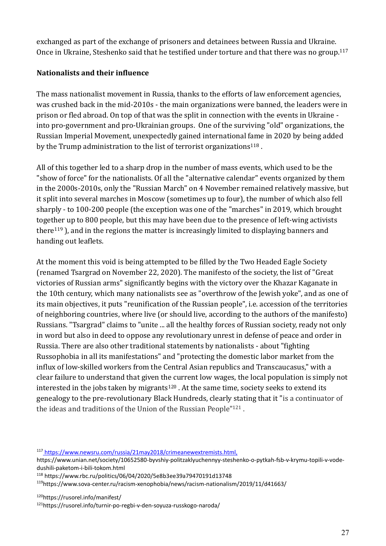exchanged as part of the exchange of prisoners and detainees between Russia and Ukraine. Once in Ukraine, Steshenko said that he testified under torture and that there was no group. 117

#### **Nationalists and their influence**

The mass nationalist movement in Russia, thanks to the efforts of law enforcement agencies, was crushed back in the mid-2010s - the main organizations were banned, the leaders were in prison or fled abroad. On top of that was the split in connection with the events in Ukraine into pro-government and pro-Ukrainian groups. One of the surviving "old" organizations, the Russian Imperial Movement, unexpectedly gained international fame in 2020 by being added by the Trump administration to the list of terrorist organizations<sup>118</sup>.

All of this together led to a sharp drop in the number of mass events, which used to be the "show of force" for the nationalists. Of all the "alternative calendar" events organized by them in the 2000s-2010s, only the "Russian March" on 4 November remained relatively massive, but it split into several marches in Moscow (sometimes up to four), the number of which also fell sharply - to 100-200 people (the exception was one of the "marches" in 2019, which brought together up to 800 people, but this may have been due to the presence of left-wing activists there<sup>119</sup> ), and in the regions the matter is increasingly limited to displaying banners and handing out leaflets.

At the moment this void is being attempted to be filled by the Two Headed Eagle Society (renamed Tsargrad on November 22, 2020). The manifesto of the society, the list of "Great victories of Russian arms" significantly begins with the victory over the Khazar Kaganate in the 10th century, which many nationalists see as "overthrow of the Jewish yoke", and as one of its main objectives, it puts "reunification of the Russian people", i.e. accession of the territories of neighboring countries, where live (or should live, according to the authors of the manifesto) Russians. "Tsargrad" claims to "unite ... all the healthy forces of Russian society, ready not only in word but also in deed to oppose any revolutionary unrest in defense of peace and order in Russia. There are also other traditional statements by nationalists - about "fighting Russophobia in all its manifestations" and "protecting the domestic labor market from the influx of low-skilled workers from the Central Asian republics and Transcaucasus," with a clear failure to understand that given the current low wages, the local population is simply not interested in the jobs taken by migrants<sup>120</sup>. At the same time, society seeks to extend its genealogy to the pre-revolutionary Black Hundreds, clearly stating that it "is a continuator of the ideas and traditions of the Union of the Russian People"<sup>121</sup> .

<sup>117</sup> https://www.newsru.com/russia/21may2018/crimeanewextremists.html,

https://www.unian.net/society/10652580-byvshiy-politzaklyuchennyy-steshenko-o-pytkah-fsb-v-krymu-topili-v-vodedushili-paketom-i-bili-tokom.html

<sup>118</sup> https://www.rbc.ru/politics/06/04/2020/5e8b3ee39a79470191d13748

<sup>119</sup>https://www.sova-center.ru/racism-xenophobia/news/racism-nationalism/2019/11/d41663/

<sup>120</sup>https://rusorel.info/manifest/

121https://rusorel.info/turnir-po-regbi-v-den-soyuza-russkogo-naroda/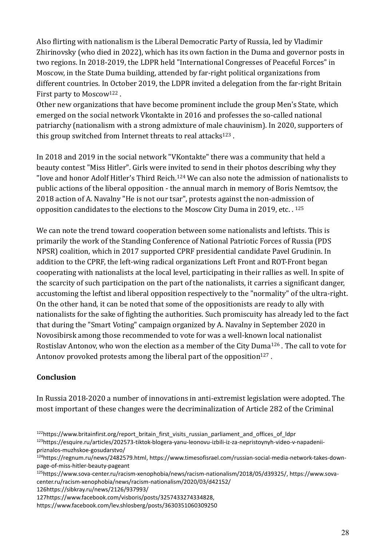Also flirting with nationalism is the Liberal Democratic Party of Russia, led by Vladimir Zhirinovsky (who died in 2022), which has its own faction in the Duma and governor posts in two regions. In 2018-2019, the LDPR held "International Congresses of Peaceful Forces" in Moscow, in the State Duma building, attended by far-right political organizations from different countries. In October 2019, the LDPR invited a delegation from the far-right Britain First party to Moscow<sup>122</sup>.

Other new organizations that have become prominent include the group Men's State, which emerged on the social network Vkontakte in 2016 and professes the so-called national patriarchy (nationalism with a strong admixture of male chauvinism). In 2020, supporters of this group switched from Internet threats to real attacks<sup>123</sup>.

In 2018 and 2019 in the social network "VKontakte" there was a community that held a beauty contest "Miss Hitler". Girls were invited to send in their photos describing why they "love and honor Adolf Hitler's Third Reich.<sup>124</sup> We can also note the admission of nationalists to public actions of the liberal opposition - the annual march in memory of Boris Nemtsov, the 2018 action of A. Navalny "He is not our tsar", protests against the non-admission of opposition candidates to the elections to the Moscow City Duma in 2019, etc. . <sup>125</sup>

We can note the trend toward cooperation between some nationalists and leftists. This is primarily the work of the Standing Conference of National Patriotic Forces of Russia (PDS NPSR) coalition, which in 2017 supported CPRF presidential candidate Pavel Grudinin. In addition to the CPRF, the left-wing radical organizations Left Front and ROT-Front began cooperating with nationalists at the local level, participating in their rallies as well. In spite of the scarcity of such participation on the part of the nationalists, it carries a significant danger, accustoming the leftist and liberal opposition respectively to the "normality" of the ultra-right. On the other hand, it can be noted that some of the oppositionists are ready to ally with nationalists for the sake of fighting the authorities. Such promiscuity has already led to the fact that during the "Smart Voting" campaign organized by A. Navalny in September 2020 in Novosibirsk among those recommended to vote for was a well-known local nationalist Rostislav Antonov, who won the election as a member of the City Duma<sup>126</sup> . The call to vote for Antonov provoked protests among the liberal part of the opposition<sup>127</sup>.

# **Conclusion**

In Russia 2018-2020 a number of innovations in anti-extremist legislation were adopted. The most important of these changes were the decriminalization of Article 282 of the Criminal

127https://www.facebook.com/visboris/posts/3257433274334828,

<sup>122</sup>https://www.britainfirst.org/report\_britain\_first\_visits\_russian\_parliament\_and\_offices\_of\_ldpr 123https://esquire.ru/articles/202573-tiktok-blogera-yanu-leonovu-izbili-iz-za-nepristoynyh-video-v-napadenii-

priznalos-muzhskoe-gosudarstvo/

<sup>124</sup>https://regnum.ru/news/2482579.html, https://www.timesofisrael.com/russian-social-media-network-takes-downpage-of-miss-hitler-beauty-pageant

<sup>125</sup>https://www.sova-center.ru/racism-xenophobia/news/racism-nationalism/2018/05/d39325/, https://www.sovacenter.ru/racism-xenophobia/news/racism-nationalism/2020/03/d42152/ 126https://sibkray.ru/news/2126/937993/

https://www.facebook.com/lev.shlosberg/posts/3630351060309250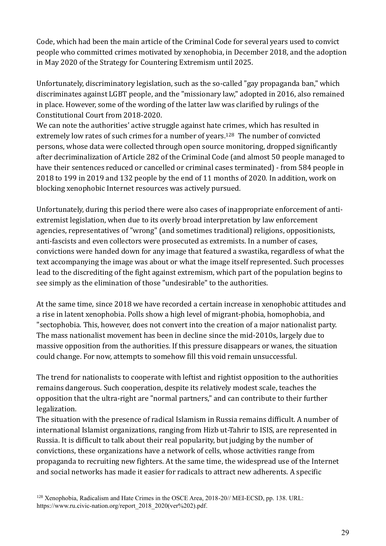Code, which had been the main article of the Criminal Code for several years used to convict people who committed crimes motivated by xenophobia, in December 2018, and the adoption in May 2020 of the Strategy for Countering Extremism until 2025.

Unfortunately, discriminatory legislation, such as the so-called "gay propaganda ban," which discriminates against LGBT people, and the "missionary law," adopted in 2016, also remained in place. However, some of the wording of the latter law was clarified by rulings of the Constitutional Court from 2018-2020.

We can note the authorities' active struggle against hate crimes, which has resulted in extremely low rates of such crimes for a number of years.<sup>128</sup> The number of convicted persons, whose data were collected through open source monitoring, dropped significantly after decriminalization of Article 282 of the Criminal Code (and almost 50 people managed to have their sentences reduced or cancelled or criminal cases terminated) - from 584 people in 2018 to 199 in 2019 and 132 people by the end of 11 months of 2020. In addition, work on blocking xenophobic Internet resources was actively pursued.

Unfortunately, during this period there were also cases of inappropriate enforcement of antiextremist legislation, when due to its overly broad interpretation by law enforcement agencies, representatives of "wrong" (and sometimes traditional) religions, oppositionists, anti-fascists and even collectors were prosecuted as extremists. In a number of cases, convictions were handed down for any image that featured a swastika, regardless of what the text accompanying the image was about or what the image itself represented. Such processes lead to the discrediting of the fight against extremism, which part of the population begins to see simply as the elimination of those "undesirable" to the authorities.

At the same time, since 2018 we have recorded a certain increase in xenophobic attitudes and a rise in latent xenophobia. Polls show a high level of migrant-phobia, homophobia, and "sectophobia. This, however, does not convert into the creation of a major nationalist party. The mass nationalist movement has been in decline since the mid-2010s, largely due to massive opposition from the authorities. If this pressure disappears or wanes, the situation could change. For now, attempts to somehow fill this void remain unsuccessful.

The trend for nationalists to cooperate with leftist and rightist opposition to the authorities remains dangerous. Such cooperation, despite its relatively modest scale, teaches the opposition that the ultra-right are "normal partners," and can contribute to their further legalization.

The situation with the presence of radical Islamism in Russia remains difficult. A number of international Islamist organizations, ranging from Hizb ut-Tahrir to ISIS, are represented in Russia. It is difficult to talk about their real popularity, but judging by the number of convictions, these organizations have a network of cells, whose activities range from propaganda to recruiting new fighters. At the same time, the widespread use of the Internet and social networks has made it easier for radicals to attract new adherents. A specific

<sup>128</sup> Xenophobia, Radicalism and Hate Crimes in the OSCE Area, 2018-20// MEI-ECSD, pp. 138. URL: https://www.ru.civic-nation.org/report\_2018\_2020(ver%202).pdf.